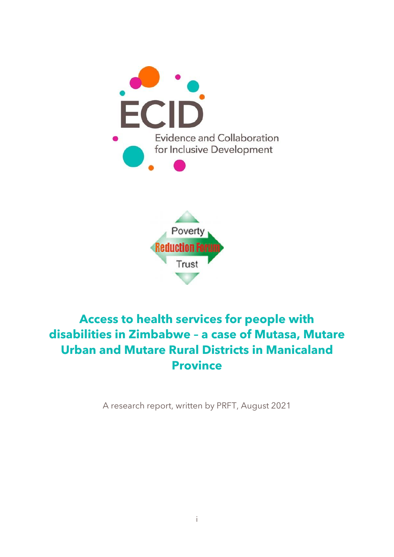



# **Access to health services for people with disabilities in Zimbabwe – a case of Mutasa, Mutare Urban and Mutare Rural Districts in Manicaland Province**

A research report, written by PRFT, August 2021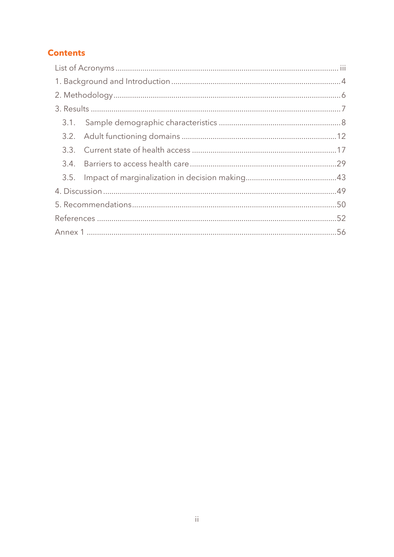# **Contents**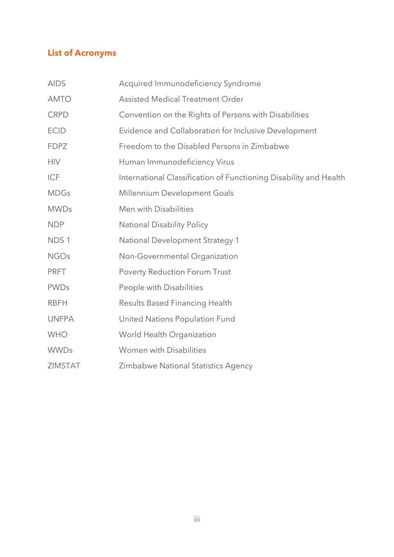# <span id="page-2-0"></span>**List of Acronyms**

| <b>AIDS</b>      | Acquired Immunodeficiency Syndrome                                |
|------------------|-------------------------------------------------------------------|
| <b>AMTO</b>      | <b>Assisted Medical Treatment Order</b>                           |
| <b>CRPD</b>      | Convention on the Rights of Persons with Disabilities             |
| <b>ECID</b>      | Evidence and Collaboration for Inclusive Development              |
| <b>FDPZ</b>      | Freedom to the Disabled Persons in Zimbabwe                       |
| <b>HIV</b>       | Human Immunodeficiency Virus                                      |
| <b>ICF</b>       | International Classification of Functioning Disability and Health |
| <b>MDGs</b>      | Millennium Development Goals                                      |
| <b>MWDs</b>      | Men with Disabilities                                             |
| <b>NDP</b>       | <b>National Disability Policy</b>                                 |
| NDS <sub>1</sub> | National Development Strategy 1                                   |
| <b>NGOs</b>      | Non-Governmental Organization                                     |
| <b>PRFT</b>      | <b>Poverty Reduction Forum Trust</b>                              |
| <b>PWDs</b>      | People with Disabilities                                          |
| <b>RBFH</b>      | <b>Results Based Financing Health</b>                             |
| <b>UNFPA</b>     | United Nations Population Fund                                    |
| <b>WHO</b>       | World Health Organization                                         |
| <b>WWDs</b>      | <b>Women with Disabilities</b>                                    |
| ZIMSTAT          | Zimbabwe National Statistics Agency                               |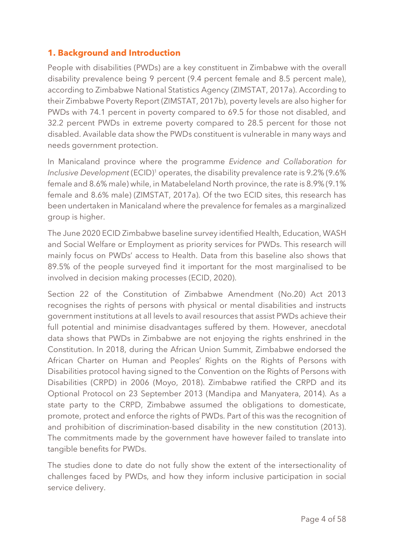# <span id="page-3-0"></span>**1. Background and Introduction**

People with disabilities (PWDs) are a key constituent in Zimbabwe with the overall disability prevalence being 9 percent (9.4 percent female and 8.5 percent male), according to Zimbabwe National Statistics Agency (ZIMSTAT, 2017a). According to their Zimbabwe Poverty Report (ZIMSTAT, 2017b), poverty levels are also higher for PWDs with 74.1 percent in poverty compared to 69.5 for those not disabled, and 32.2 percent PWDs in extreme poverty compared to 28.5 percent for those not disabled. Available data show the PWDs constituent is vulnerable in many ways and needs government protection.

In Manicaland province where the programme *Evidence and Collaboration for*  Inclusive Development (ECID)<sup>1</sup> operates, the disability prevalence rate is 9.2% (9.6% female and 8.6% male) while, in Matabeleland North province, the rate is 8.9% (9.1% female and 8.6% male) (ZIMSTAT, 2017a). Of the two ECID sites, this research has been undertaken in Manicaland where the prevalence for females as a marginalized group is higher.

The June 2020 ECID Zimbabwe baseline survey identified Health, Education, WASH and Social Welfare or Employment as priority services for PWDs. This research will mainly focus on PWDs' access to Health. Data from this baseline also shows that 89.5% of the people surveyed find it important for the most marginalised to be involved in decision making processes (ECID, 2020).

Section 22 of the Constitution of Zimbabwe Amendment (No.20) Act 2013 recognises the rights of persons with physical or mental disabilities and instructs government institutions at all levels to avail resources that assist PWDs achieve their full potential and minimise disadvantages suffered by them. However, anecdotal data shows that PWDs in Zimbabwe are not enjoying the rights enshrined in the Constitution. In 2018, during the African Union Summit, Zimbabwe endorsed the African Charter on Human and Peoples' Rights on the Rights of Persons with Disabilities protocol having signed to the Convention on the Rights of Persons with Disabilities (CRPD) in 2006 (Moyo, 2018). Zimbabwe ratified the CRPD and its Optional Protocol on 23 September 2013 (Mandipa and Manyatera, 2014). As a state party to the CRPD, Zimbabwe assumed the obligations to domesticate, promote, protect and enforce the rights of PWDs. Part of this was the recognition of and prohibition of discrimination-based disability in the new constitution (2013). The commitments made by the government have however failed to translate into tangible benefits for PWDs.

The studies done to date do not fully show the extent of the intersectionality of challenges faced by PWDs, and how they inform inclusive participation in social service delivery.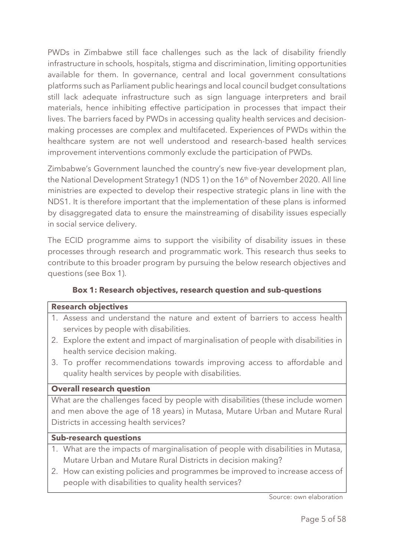PWDs in Zimbabwe still face challenges such as the lack of disability friendly infrastructure in schools, hospitals, stigma and discrimination, limiting opportunities available for them. In governance, central and local government consultations platforms such as Parliament public hearings and local council budget consultations still lack adequate infrastructure such as sign language interpreters and brail materials, hence inhibiting effective participation in processes that impact their lives. The barriers faced by PWDs in accessing quality health services and decisionmaking processes are complex and multifaceted. Experiences of PWDs within the healthcare system are not well understood and research-based health services improvement interventions commonly exclude the participation of PWDs.

Zimbabwe's Government launched the country's new five-year development plan, the National Development Strategy1 (NDS 1) on the 16<sup>th</sup> of November 2020. All line ministries are expected to develop their respective strategic plans in line with the NDS1. It is therefore important that the implementation of these plans is informed by disaggregated data to ensure the mainstreaming of disability issues especially in social service delivery.

The ECID programme aims to support the visibility of disability issues in these processes through research and programmatic work. This research thus seeks to contribute to this broader program by pursuing the below research objectives and questions (see Box 1).

# **Box 1: Research objectives, research question and sub-questions**

#### **Research objectives**

- 1. Assess and understand the nature and extent of barriers to access health services by people with disabilities.
- 2. Explore the extent and impact of marginalisation of people with disabilities in health service decision making.
- 3. To proffer recommendations towards improving access to affordable and quality health services by people with disabilities.

#### **Overall research question**

What are the challenges faced by people with disabilities (these include women and men above the age of 18 years) in Mutasa, Mutare Urban and Mutare Rural Districts in accessing health services?

#### **Sub-research questions**

- 1. What are the impacts of marginalisation of people with disabilities in Mutasa, Mutare Urban and Mutare Rural Districts in decision making?
- 2. How can existing policies and programmes be improved to increase access of people with disabilities to quality health services?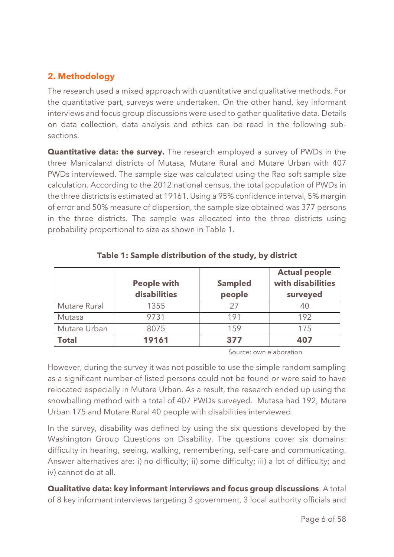# <span id="page-5-0"></span>**2. Methodology**

The research used a mixed approach with quantitative and qualitative methods. For the quantitative part, surveys were undertaken. On the other hand, key informant interviews and focus group discussions were used to gather qualitative data. Details on data collection, data analysis and ethics can be read in the following subsections.

**Quantitative data: the survey.** The research employed a survey of PWDs in the three Manicaland districts of Mutasa, Mutare Rural and Mutare Urban with 407 PWDs interviewed. The sample size was calculated using the Rao soft sample size calculation. According to the 2012 national census, the total population of PWDs in the three districts is estimated at 19161. Using a 95% confidence interval, 5% margin of error and 50% measure of dispersion, the sample size obtained was 377 persons in the three districts. The sample was allocated into the three districts using probability proportional to size as shown in Table 1.

|              |                    |                | <b>Actual people</b> |
|--------------|--------------------|----------------|----------------------|
|              | <b>People with</b> | <b>Sampled</b> | with disabilities    |
|              | disabilities       | people         | surveyed             |
| Mutare Rural | 1355               | 27             |                      |
| Mutasa       | 9731               | 191            | 192                  |
| Mutare Urban | 8075               | 159            | 175                  |
| <b>Total</b> | 19161              | 377            | 407                  |

#### **Table 1: Sample distribution of the study, by district**

Source: own elaboration

However, during the survey it was not possible to use the simple random sampling as a significant number of listed persons could not be found or were said to have relocated especially in Mutare Urban. As a result, the research ended up using the snowballing method with a total of 407 PWDs surveyed. Mutasa had 192, Mutare Urban 175 and Mutare Rural 40 people with disabilities interviewed.

In the survey, disability was defined by using the six questions developed by the Washington Group Questions on Disability. The questions cover six domains: difficulty in hearing, seeing, walking, remembering, self-care and communicating. Answer alternatives are: i) no difficulty; ii) some difficulty; iii) a lot of difficulty; and iv) cannot do at all.

**Qualitative data: key informant interviews and focus group discussions**. A total of 8 key informant interviews targeting 3 government, 3 local authority officials and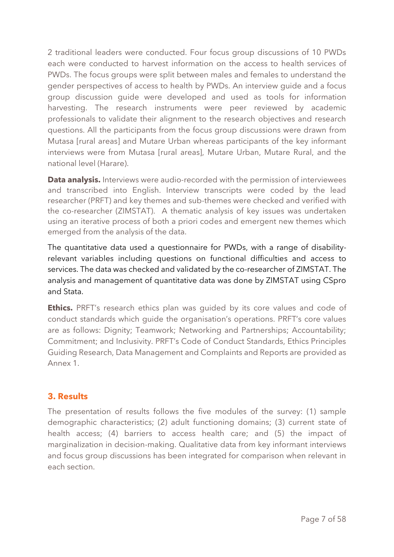2 traditional leaders were conducted. Four focus group discussions of 10 PWDs each were conducted to harvest information on the access to health services of PWDs. The focus groups were split between males and females to understand the gender perspectives of access to health by PWDs. An interview guide and a focus group discussion guide were developed and used as tools for information harvesting. The research instruments were peer reviewed by academic professionals to validate their alignment to the research objectives and research questions. All the participants from the focus group discussions were drawn from Mutasa [rural areas] and Mutare Urban whereas participants of the key informant interviews were from Mutasa [rural areas], Mutare Urban, Mutare Rural, and the national level (Harare).

**Data analysis.** Interviews were audio-recorded with the permission of interviewees and transcribed into English. Interview transcripts were coded by the lead researcher (PRFT) and key themes and sub-themes were checked and verified with the co-researcher (ZIMSTAT). A thematic analysis of key issues was undertaken using an iterative process of both a priori codes and emergent new themes which emerged from the analysis of the data.

The quantitative data used a questionnaire for PWDs, with a range of disabilityrelevant variables including questions on functional difficulties and access to services. The data was checked and validated by the co-researcher of ZIMSTAT. The analysis and management of quantitative data was done by ZIMSTAT using CSpro and Stata.

**Ethics.** PRFT's research ethics plan was quided by its core values and code of conduct standards which guide the organisation's operations. PRFT's core values are as follows: Dignity; Teamwork; Networking and Partnerships; Accountability; Commitment; and Inclusivity. PRFT's Code of Conduct Standards, Ethics Principles Guiding Research, Data Management and Complaints and Reports are provided as Annex 1.

# <span id="page-6-0"></span>**3. Results**

The presentation of results follows the five modules of the survey: (1) sample demographic characteristics; (2) adult functioning domains; (3) current state of health access; (4) barriers to access health care; and (5) the impact of marginalization in decision-making. Qualitative data from key informant interviews and focus group discussions has been integrated for comparison when relevant in each section.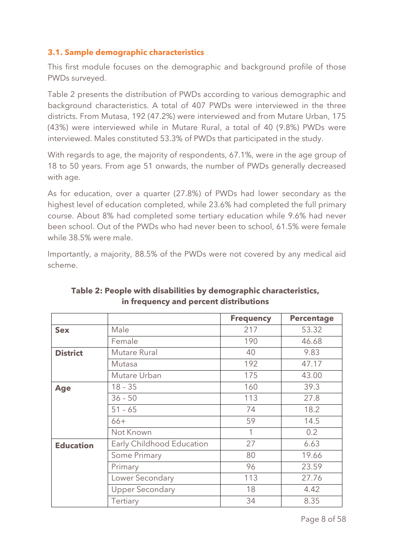#### <span id="page-7-0"></span>**3.1. Sample demographic characteristics**

This first module focuses on the demographic and background profile of those PWDs surveyed.

Table 2 presents the distribution of PWDs according to various demographic and background characteristics. A total of 407 PWDs were interviewed in the three districts. From Mutasa, 192 (47.2%) were interviewed and from Mutare Urban, 175 (43%) were interviewed while in Mutare Rural, a total of 40 (9.8%) PWDs were interviewed. Males constituted 53.3% of PWDs that participated in the study.

With regards to age, the majority of respondents, 67.1%, were in the age group of 18 to 50 years. From age 51 onwards, the number of PWDs generally decreased with age.

As for education, over a quarter (27.8%) of PWDs had lower secondary as the highest level of education completed, while 23.6% had completed the full primary course. About 8% had completed some tertiary education while 9.6% had never been school. Out of the PWDs who had never been to school, 61.5% were female while 38.5% were male.

Importantly, a majority, 88.5% of the PWDs were not covered by any medical aid scheme.

|                  |                           | <b>Frequency</b> | <b>Percentage</b> |
|------------------|---------------------------|------------------|-------------------|
| <b>Sex</b>       | Male                      | 217              | 53.32             |
|                  | Female                    | 190              | 46.68             |
| <b>District</b>  | Mutare Rural              | 40               | 9.83              |
|                  | Mutasa                    | 192              | 47.17             |
|                  | Mutare Urban              | 175              | 43.00             |
| <b>Age</b>       | $18 - 35$                 | 160              | 39.3              |
|                  | $36 - 50$                 | 113              | 27.8              |
|                  | $51 - 65$                 | 74               | 18.2              |
|                  | $66+$                     | 59               | 14.5              |
|                  | Not Known                 | 1                | 0.2               |
| <b>Education</b> | Early Childhood Education | 27               | 6.63              |
|                  | Some Primary              | 80               | 19.66             |
|                  | Primary                   | 96               | 23.59             |
|                  | Lower Secondary           | 113              | 27.76             |
|                  | <b>Upper Secondary</b>    | 18               | 4.42              |
|                  | Tertiary                  | 34               | 8.35              |

**Table 2: People with disabilities by demographic characteristics, in frequency and percent distributions**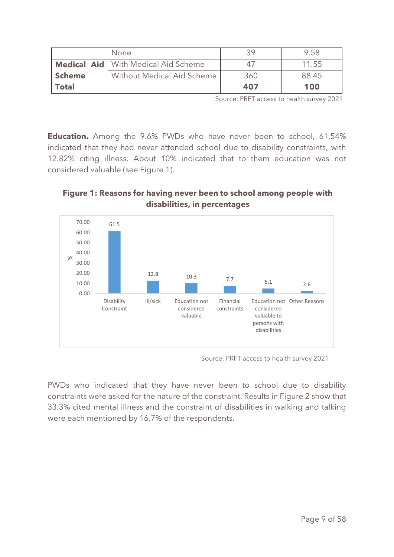|               | None                                       |     | 9.58  |
|---------------|--------------------------------------------|-----|-------|
|               | <b>Medical Aid</b> With Medical Aid Scheme | 47  | 11.55 |
| <b>Scheme</b> | Without Medical Aid Scheme                 | 360 | 88.45 |
| <b>Total</b>  |                                            | 407 | 100   |

Source: PRFT access to health survey 2021

**Education.** Among the 9.6% PWDs who have never been to school, 61.54% indicated that they had never attended school due to disability constraints, with 12.82% citing illness. About 10% indicated that to them education was not considered valuable (see Figure 1).

#### **Figure 1: Reasons for having never been to school among people with disabilities, in percentages**



Source: PRFT access to health survey 2021

PWDs who indicated that they have never been to school due to disability constraints were asked for the nature of the constraint. Results in Figure 2 show that 33.3% cited mental illness and the constraint of disabilities in walking and talking were each mentioned by 16.7% of the respondents.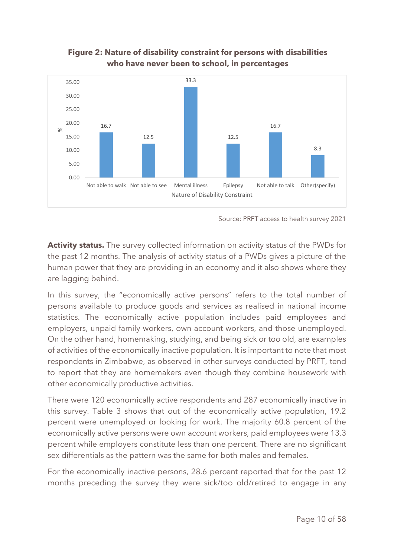

# **Figure 2: Nature of disability constraint for persons with disabilities who have never been to school, in percentages**

Source: PRFT access to health survey 2021

**Activity status.** The survey collected information on activity status of the PWDs for the past 12 months. The analysis of activity status of a PWDs gives a picture of the human power that they are providing in an economy and it also shows where they are lagging behind.

In this survey, the "economically active persons" refers to the total number of persons available to produce goods and services as realised in national income statistics. The economically active population includes paid employees and employers, unpaid family workers, own account workers, and those unemployed. On the other hand, homemaking, studying, and being sick or too old, are examples of activities of the economically inactive population. It is important to note that most respondents in Zimbabwe, as observed in other surveys conducted by PRFT, tend to report that they are homemakers even though they combine housework with other economically productive activities.

There were 120 economically active respondents and 287 economically inactive in this survey. Table 3 shows that out of the economically active population, 19.2 percent were unemployed or looking for work. The majority 60.8 percent of the economically active persons were own account workers, paid employees were 13.3 percent while employers constitute less than one percent. There are no significant sex differentials as the pattern was the same for both males and females.

For the economically inactive persons, 28.6 percent reported that for the past 12 months preceding the survey they were sick/too old/retired to engage in any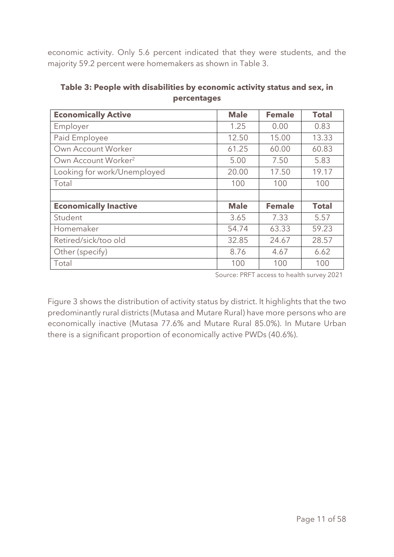economic activity. Only 5.6 percent indicated that they were students, and the majority 59.2 percent were homemakers as shown in Table 3.

| <b>Economically Active</b>      | <b>Male</b> | <b>Female</b> | <b>Total</b> |
|---------------------------------|-------------|---------------|--------------|
| Employer                        | 1.25        | 0.00          | 0.83         |
| Paid Employee                   | 12.50       | 15.00         | 13.33        |
| Own Account Worker              | 61.25       | 60.00         | 60.83        |
| Own Account Worker <sup>2</sup> | 5.00        | 7.50          | 5.83         |
| Looking for work/Unemployed     | 20.00       | 17.50         | 19.17        |
| Total                           | 100         | 100           | 100          |
|                                 |             |               |              |
| <b>Economically Inactive</b>    | <b>Male</b> | <b>Female</b> | <b>Total</b> |
| Student                         | 3.65        | 7.33          | 5.57         |
| Homemaker                       | 54.74       | 63.33         | 59.23        |
| Retired/sick/too old            | 32.85       | 24.67         | 28.57        |
| Other (specify)                 | 8.76        | 4.67          | 6.62         |
| Total                           | 100         | 100           | 100          |

**Table 3: People with disabilities by economic activity status and sex, in percentages**

Source: PRFT access to health survey 2021

Figure 3 shows the distribution of activity status by district. It highlights that the two predominantly rural districts (Mutasa and Mutare Rural) have more persons who are economically inactive (Mutasa 77.6% and Mutare Rural 85.0%). In Mutare Urban there is a significant proportion of economically active PWDs (40.6%).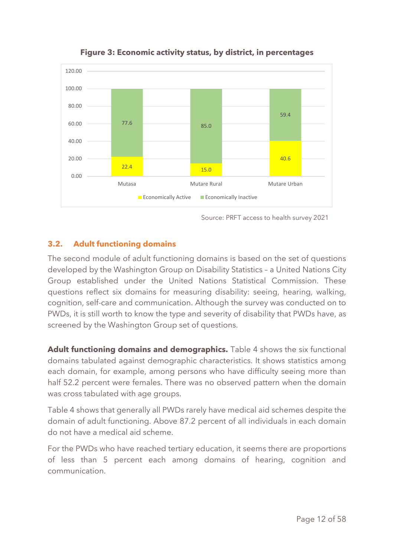

**Figure 3: Economic activity status, by district, in percentages**

#### <span id="page-11-0"></span>**3.2. Adult functioning domains**

The second module of adult functioning domains is based on the set of questions developed by the Washington Group on Disability Statistics – a United Nations City Group established under the United Nations Statistical Commission. These questions reflect six domains for measuring disability: seeing, hearing, walking, cognition, self-care and communication. Although the survey was conducted on to PWDs, it is still worth to know the type and severity of disability that PWDs have, as screened by the Washington Group set of questions.

**Adult functioning domains and demographics.** Table 4 shows the six functional domains tabulated against demographic characteristics. It shows statistics among each domain, for example, among persons who have difficulty seeing more than half 52.2 percent were females. There was no observed pattern when the domain was cross tabulated with age groups.

Table 4 shows that generally all PWDs rarely have medical aid schemes despite the domain of adult functioning. Above 87.2 percent of all individuals in each domain do not have a medical aid scheme.

For the PWDs who have reached tertiary education, it seems there are proportions of less than 5 percent each among domains of hearing, cognition and communication.

Source: PRFT access to health survey 2021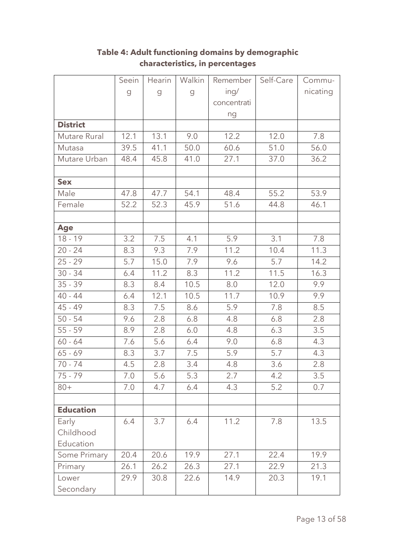|                  | Seein                                                                                                                | Hearin | Walkin              | Remember    | Self-Care | Commu-   |
|------------------|----------------------------------------------------------------------------------------------------------------------|--------|---------------------|-------------|-----------|----------|
|                  | $\mathcal{G}% _{M_{1},M_{2}}^{\alpha,\beta}(\mathcal{A})\equiv\mathcal{A}_{M_{1},M_{2}}^{\alpha,\beta}(\mathcal{A})$ | g      | $\mathcal{G}% _{0}$ | ing/        |           | nicating |
|                  |                                                                                                                      |        |                     | concentrati |           |          |
|                  |                                                                                                                      |        |                     | ng          |           |          |
| <b>District</b>  |                                                                                                                      |        |                     |             |           |          |
| Mutare Rural     | 12.1                                                                                                                 | 13.1   | 9.0                 | 12.2        | 12.0      | 7.8      |
| Mutasa           | 39.5                                                                                                                 | 41.1   | 50.0                | 60.6        | 51.0      | 56.0     |
| Mutare Urban     | 48.4                                                                                                                 | 45.8   | 41.0                | 27.1        | 37.0      | 36.2     |
|                  |                                                                                                                      |        |                     |             |           |          |
| <b>Sex</b>       |                                                                                                                      |        |                     |             |           |          |
| Male             | 47.8                                                                                                                 | 47.7   | 54.1                | 48.4        | 55.2      | 53.9     |
| Female           | 52.2                                                                                                                 | 52.3   | 45.9                | 51.6        | 44.8      | 46.1     |
|                  |                                                                                                                      |        |                     |             |           |          |
| <b>Age</b>       |                                                                                                                      |        |                     |             |           |          |
| $18 - 19$        | 3.2                                                                                                                  | 7.5    | 4.1                 | 5.9         | 3.1       | 7.8      |
| $20 - 24$        | 8.3                                                                                                                  | 9.3    | 7.9                 | 11.2        | 10.4      | 11.3     |
| $25 - 29$        | 5.7                                                                                                                  | 15.0   | 7.9                 | 9.6         | 5.7       | 14.2     |
| $30 - 34$        | 6.4                                                                                                                  | 11.2   | 8.3                 | 11.2        | 11.5      | 16.3     |
| $35 - 39$        | 8.3                                                                                                                  | 8.4    | 10.5                | 8.0         | 12.0      | 9.9      |
| $40 - 44$        | 6.4                                                                                                                  | 12.1   | 10.5                | 11.7        | 10.9      | 9.9      |
| $45 - 49$        | 8.3                                                                                                                  | 7.5    | 8.6                 | 5.9         | 7.8       | 8.5      |
| $50 - 54$        | 9.6                                                                                                                  | 2.8    | 6.8                 | 4.8         | 6.8       | 2.8      |
| $55 - 59$        | 8.9                                                                                                                  | 2.8    | 6.0                 | 4.8         | 6.3       | 3.5      |
| $60 - 64$        | 7.6                                                                                                                  | 5.6    | 6.4                 | 9.0         | 6.8       | 4.3      |
| $65 - 69$        | 8.3                                                                                                                  | 3.7    | 7.5                 | 5.9         | 5.7       | 4.3      |
| $70 - 74$        | 4.5                                                                                                                  | 2.8    | 3.4                 | 4.8         | 3.6       | 2.8      |
| $75 - 79$        | 7.0                                                                                                                  | 5.6    | 5.3                 | 2.7         | 4.2       | 3.5      |
| $80+$            | 7.0                                                                                                                  | 4.7    | 6.4                 | 4.3         | 5.2       | 0.7      |
|                  |                                                                                                                      |        |                     |             |           |          |
| <b>Education</b> |                                                                                                                      |        |                     |             |           |          |
| Early            | 6.4                                                                                                                  | 3.7    | 6.4                 | 11.2        | 7.8       | 13.5     |
| Childhood        |                                                                                                                      |        |                     |             |           |          |
| Education        |                                                                                                                      |        |                     |             |           |          |
| Some Primary     | 20.4                                                                                                                 | 20.6   | 19.9                | 27.1        | 22.4      | 19.9     |
| Primary          | 26.1                                                                                                                 | 26.2   | 26.3                | 27.1        | 22.9      | 21.3     |
| Lower            | 29.9                                                                                                                 | 30.8   | 22.6                | 14.9        | 20.3      | 19.1     |
| Secondary        |                                                                                                                      |        |                     |             |           |          |

# **Table 4: Adult functioning domains by demographic characteristics, in percentages**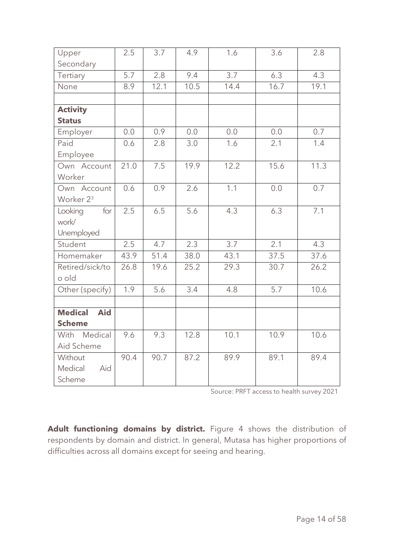| Upper                        | 2.5  | 3.7  | 4.9              | 1.6              | 3.6  | 2.8  |
|------------------------------|------|------|------------------|------------------|------|------|
| Secondary                    |      |      |                  |                  |      |      |
| Tertiary                     | 5.7  | 2.8  | 9.4              | 3.7              | 6.3  | 4.3  |
| None                         | 8.9  | 12.1 | 10.5             | 14.4             | 16.7 | 19.1 |
|                              |      |      |                  |                  |      |      |
| <b>Activity</b>              |      |      |                  |                  |      |      |
| <b>Status</b>                |      |      |                  |                  |      |      |
| Employer                     | 0.0  | 0.9  | 0.0              | 0.0              | 0.0  | 0.7  |
| Paid                         | 0.6  | 2.8  | 3.0              | 1.6              | 2.1  | 1.4  |
| Employee                     |      |      |                  |                  |      |      |
| Own Account                  | 21.0 | 7.5  | 19.9             | 12.2             | 15.6 | 11.3 |
| Worker                       |      |      |                  |                  |      |      |
| Own Account                  | 0.6  | 0.9  | 2.6              | 1.1              | 0.0  | 0.7  |
| Worker 2 <sup>3</sup>        |      |      |                  |                  |      |      |
| Looking<br>for               | 2.5  | 6.5  | 5.6              | 4.3              | 6.3  | 7.1  |
| work/                        |      |      |                  |                  |      |      |
| Unemployed                   |      |      |                  |                  |      |      |
| Student                      | 2.5  | 4.7  | 2.3              | $\overline{3.7}$ | 2.1  | 4.3  |
| Homemaker                    | 43.9 | 51.4 | 38.0             | 43.1             | 37.5 | 37.6 |
| Retired/sick/to              | 26.8 | 19.6 | 25.2             | 29.3             | 30.7 | 26.2 |
| o old                        |      |      |                  |                  |      |      |
| Other (specify)              | 1.9  | 5.6  | $\overline{3.4}$ | 4.8              | 5.7  | 10.6 |
|                              |      |      |                  |                  |      |      |
| <b>Medical</b><br><b>Aid</b> |      |      |                  |                  |      |      |
| <b>Scheme</b>                |      |      |                  |                  |      |      |
| With Medical                 | 9.6  | 9.3  | 12.8             | 10.1             | 10.9 | 10.6 |
| Aid Scheme                   |      |      |                  |                  |      |      |
| Without                      | 90.4 | 90.7 | 87.2             | 89.9             | 89.1 | 89.4 |
| Aid<br>Medical               |      |      |                  |                  |      |      |
| Scheme                       |      |      |                  |                  |      |      |

Source: PRFT access to health survey 2021

**Adult functioning domains by district.** Figure 4 shows the distribution of respondents by domain and district. In general, Mutasa has higher proportions of difficulties across all domains except for seeing and hearing.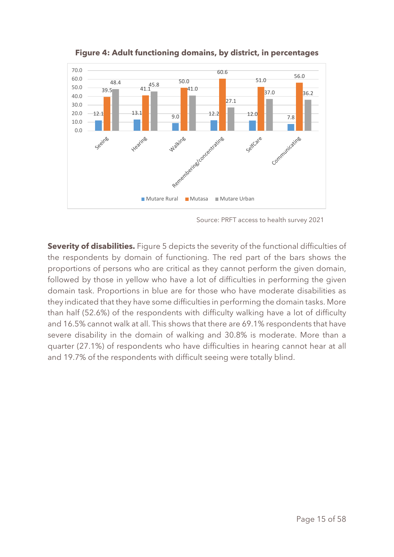

**Figure 4: Adult functioning domains, by district, in percentages**

**Severity of disabilities.** Figure 5 depicts the severity of the functional difficulties of the respondents by domain of functioning. The red part of the bars shows the proportions of persons who are critical as they cannot perform the given domain, followed by those in yellow who have a lot of difficulties in performing the given domain task. Proportions in blue are for those who have moderate disabilities as they indicated that they have some difficulties in performing the domain tasks. More than half (52.6%) of the respondents with difficulty walking have a lot of difficulty and 16.5% cannot walk at all. This shows that there are 69.1% respondents that have severe disability in the domain of walking and 30.8% is moderate. More than a quarter (27.1%) of respondents who have difficulties in hearing cannot hear at all and 19.7% of the respondents with difficult seeing were totally blind.

Source: PRFT access to health survey 2021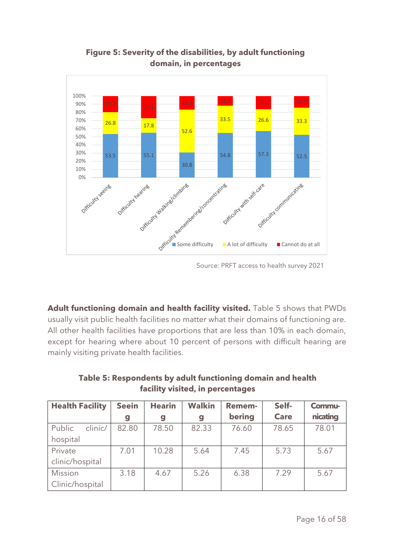

**Figure 5: Severity of the disabilities, by adult functioning domain, in percentages**

Source: PRFT access to health survey 2021

**Adult functioning domain and health facility visited.** Table 5 shows that PWDs usually visit public health facilities no matter what their domains of functioning are. All other health facilities have proportions that are less than 10% in each domain, except for hearing where about 10 percent of persons with difficult hearing are mainly visiting private health facilities.

**Table 5: Respondents by adult functioning domain and health facility visited, in percentages**

| <b>Health Facility</b> | <b>Seein</b> | <b>Hearin</b>    | <b>Walkin</b> | <b>Remem-</b> | Self-       | Commu-   |
|------------------------|--------------|------------------|---------------|---------------|-------------|----------|
|                        | g            | $\boldsymbol{g}$ | g             | bering        | <b>Care</b> | nicating |
| Public<br>clinic/      | 82.80        | 78.50            | 82.33         | 76.60         | 78.65       | 78.01    |
| hospital               |              |                  |               |               |             |          |
| Private                | 7.01         | 10.28            | 5.64          | 7.45          | 5.73        | 5.67     |
| clinic/hospital        |              |                  |               |               |             |          |
| Mission                | 3.18         | 4.67             | 5.26          | 6.38          | 7.29        | 5.67     |
| Clinic/hospital        |              |                  |               |               |             |          |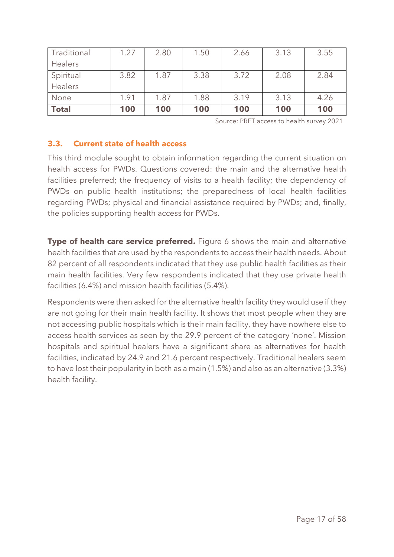| Traditional  | 1.27 | 2.80 | 1.50 | 2.66 | 3.13 | 3.55 |
|--------------|------|------|------|------|------|------|
| Healers      |      |      |      |      |      |      |
| Spiritual    | 3.82 | 1.87 | 3.38 | 3.72 | 2.08 | 2.84 |
| Healers      |      |      |      |      |      |      |
| None         | 1.91 | 1.87 | 1.88 | 3.19 | 3.13 | 4.26 |
| <b>Total</b> | 100  | 100  | 100  | 100  | 100  | 100  |

Source: PRFT access to health survey 2021

#### <span id="page-16-0"></span>**3.3. Current state of health access**

This third module sought to obtain information regarding the current situation on health access for PWDs. Questions covered: the main and the alternative health facilities preferred; the frequency of visits to a health facility; the dependency of PWDs on public health institutions; the preparedness of local health facilities regarding PWDs; physical and financial assistance required by PWDs; and, finally, the policies supporting health access for PWDs.

**Type of health care service preferred.** Figure 6 shows the main and alternative health facilities that are used by the respondents to access their health needs. About 82 percent of all respondents indicated that they use public health facilities as their main health facilities. Very few respondents indicated that they use private health facilities (6.4%) and mission health facilities (5.4%).

Respondents were then asked for the alternative health facility they would use if they are not going for their main health facility. It shows that most people when they are not accessing public hospitals which is their main facility, they have nowhere else to access health services as seen by the 29.9 percent of the category 'none'. Mission hospitals and spiritual healers have a significant share as alternatives for health facilities, indicated by 24.9 and 21.6 percent respectively. Traditional healers seem to have lost their popularity in both as a main (1.5%) and also as an alternative (3.3%) health facility.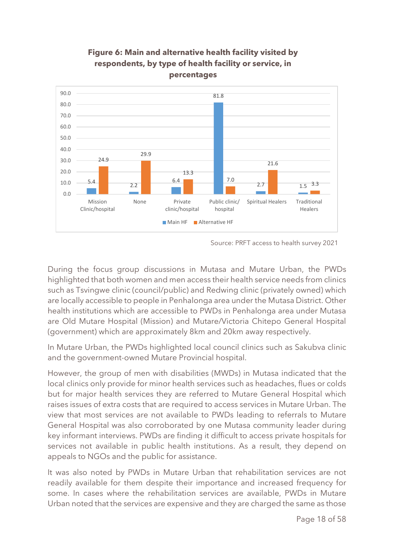

# **Figure 6: Main and alternative health facility visited by respondents, by type of health facility or service, in percentages**

Source: PRFT access to health survey 2021

During the focus group discussions in Mutasa and Mutare Urban, the PWDs highlighted that both women and men access their health service needs from clinics such as Tsvingwe clinic (council/public) and Redwing clinic (privately owned) which are locally accessible to people in Penhalonga area under the Mutasa District. Other health institutions which are accessible to PWDs in Penhalonga area under Mutasa are Old Mutare Hospital (Mission) and Mutare/Victoria Chitepo General Hospital (government) which are approximately 8km and 20km away respectively.

In Mutare Urban, the PWDs highlighted local council clinics such as Sakubva clinic and the government-owned Mutare Provincial hospital.

However, the group of men with disabilities (MWDs) in Mutasa indicated that the local clinics only provide for minor health services such as headaches, flues or colds but for major health services they are referred to Mutare General Hospital which raises issues of extra costs that are required to access services in Mutare Urban. The view that most services are not available to PWDs leading to referrals to Mutare General Hospital was also corroborated by one Mutasa community leader during key informant interviews. PWDs are finding it difficult to access private hospitals for services not available in public health institutions. As a result, they depend on appeals to NGOs and the public for assistance.

It was also noted by PWDs in Mutare Urban that rehabilitation services are not readily available for them despite their importance and increased frequency for some. In cases where the rehabilitation services are available, PWDs in Mutare Urban noted that the services are expensive and they are charged the same as those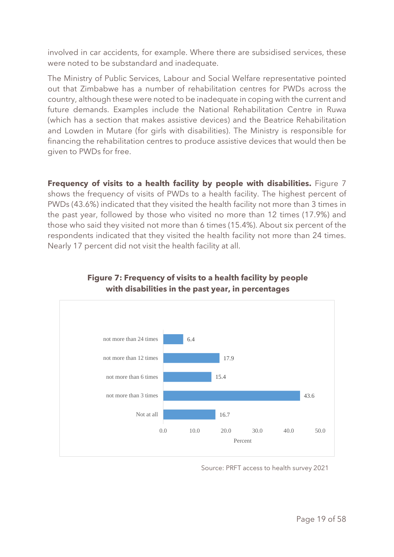involved in car accidents, for example. Where there are subsidised services, these were noted to be substandard and inadequate.

The Ministry of Public Services, Labour and Social Welfare representative pointed out that Zimbabwe has a number of rehabilitation centres for PWDs across the country, although these were noted to be inadequate in coping with the current and future demands. Examples include the National Rehabilitation Centre in Ruwa (which has a section that makes assistive devices) and the Beatrice Rehabilitation and Lowden in Mutare (for girls with disabilities). The Ministry is responsible for financing the rehabilitation centres to produce assistive devices that would then be given to PWDs for free.

**Frequency of visits to a health facility by people with disabilities.** Figure 7 shows the frequency of visits of PWDs to a health facility. The highest percent of PWDs (43.6%) indicated that they visited the health facility not more than 3 times in the past year, followed by those who visited no more than 12 times (17.9%) and those who said they visited not more than 6 times (15.4%). About six percent of the respondents indicated that they visited the health facility not more than 24 times. Nearly 17 percent did not visit the health facility at all.



# **Figure 7: Frequency of visits to a health facility by people with disabilities in the past year, in percentages**

Source: PRFT access to health survey 2021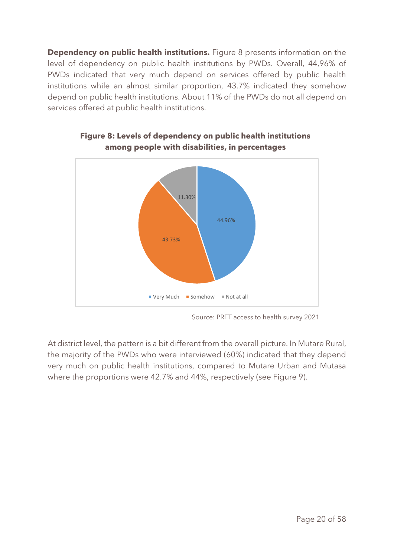**Dependency on public health institutions.** Figure 8 presents information on the level of dependency on public health institutions by PWDs. Overall, 44,96% of PWDs indicated that very much depend on services offered by public health institutions while an almost similar proportion, 43.7% indicated they somehow depend on public health institutions. About 11% of the PWDs do not all depend on services offered at public health institutions.



#### **Figure 8: Levels of dependency on public health institutions among people with disabilities, in percentages**

At district level, the pattern is a bit different from the overall picture. In Mutare Rural, the majority of the PWDs who were interviewed (60%) indicated that they depend very much on public health institutions, compared to Mutare Urban and Mutasa where the proportions were 42.7% and 44%, respectively (see Figure 9).

Source: PRFT access to health survey 2021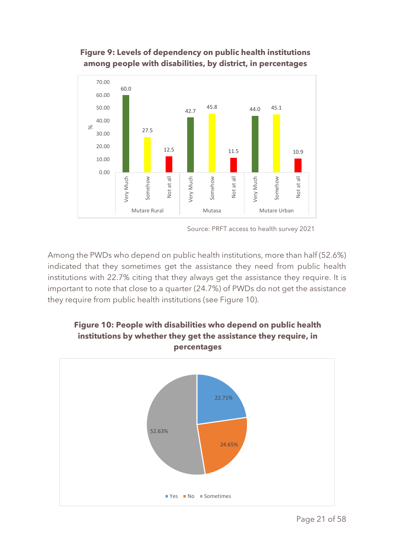# **Figure 9: Levels of dependency on public health institutions among people with disabilities, by district, in percentages**



Source: PRFT access to health survey 2021

Among the PWDs who depend on public health institutions, more than half (52.6%) indicated that they sometimes get the assistance they need from public health institutions with 22.7% citing that they always get the assistance they require. It is important to note that close to a quarter (24.7%) of PWDs do not get the assistance they require from public health institutions (see Figure 10).



# **Figure 10: People with disabilities who depend on public health institutions by whether they get the assistance they require, in percentages**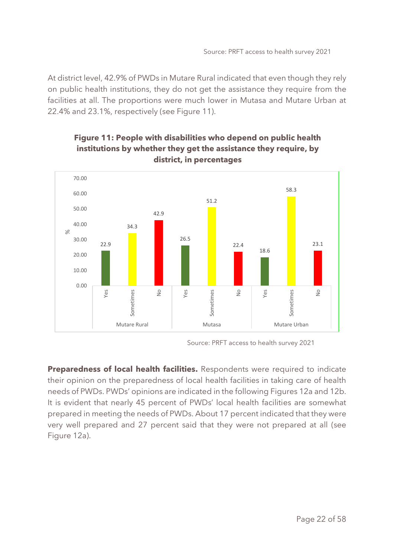At district level, 42.9% of PWDs in Mutare Rural indicated that even though they rely on public health institutions, they do not get the assistance they require from the facilities at all. The proportions were much lower in Mutasa and Mutare Urban at 22.4% and 23.1%, respectively (see Figure 11).



# **Figure 11: People with disabilities who depend on public health institutions by whether they get the assistance they require, by district, in percentages**

Source: PRFT access to health survey 2021

**Preparedness of local health facilities.** Respondents were required to indicate their opinion on the preparedness of local health facilities in taking care of health needs of PWDs. PWDs' opinions are indicated in the following Figures 12a and 12b. It is evident that nearly 45 percent of PWDs' local health facilities are somewhat prepared in meeting the needs of PWDs. About 17 percent indicated that they were very well prepared and 27 percent said that they were not prepared at all (see Figure 12a).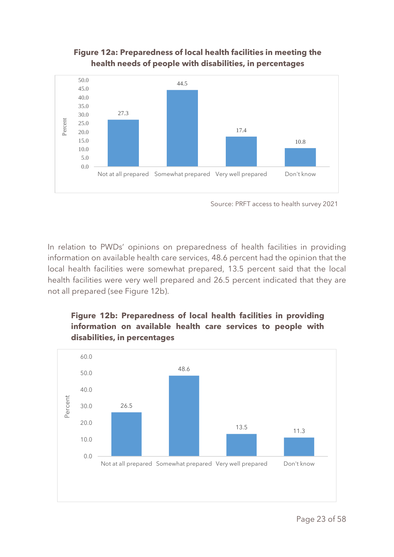#### **Figure 12a: Preparedness of local health facilities in meeting the health needs of people with disabilities, in percentages**



Source: PRFT access to health survey 2021

In relation to PWDs' opinions on preparedness of health facilities in providing information on available health care services, 48.6 percent had the opinion that the local health facilities were somewhat prepared, 13.5 percent said that the local health facilities were very well prepared and 26.5 percent indicated that they are not all prepared (see Figure 12b).

# **Figure 12b: Preparedness of local health facilities in providing information on available health care services to people with disabilities, in percentages**

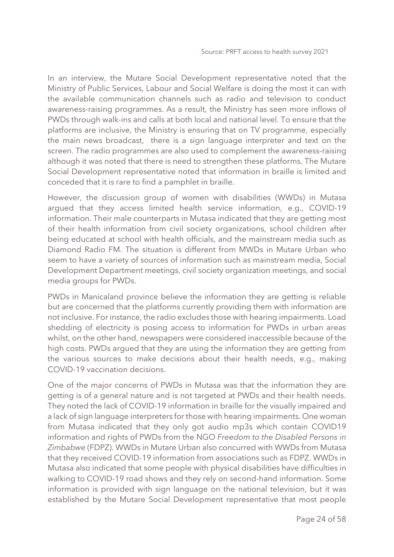In an interview, the Mutare Social Development representative noted that the Ministry of Public Services, Labour and Social Welfare is doing the most it can with the available communication channels such as radio and television to conduct awareness-raising programmes. As a result, the Ministry has seen more inflows of PWDs through walk-ins and calls at both local and national level. To ensure that the platforms are inclusive, the Ministry is ensuring that on TV programme, especially the main news broadcast, there is a sign language interpreter and text on the screen. The radio programmes are also used to complement the awareness-raising although it was noted that there is need to strengthen these platforms. The Mutare Social Development representative noted that information in braille is limited and conceded that it is rare to find a pamphlet in braille.

However, the discussion group of women with disabilities (WWDs) in Mutasa argued that they access limited health service information, e.g., COVID-19 information. Their male counterparts in Mutasa indicated that they are getting most of their health information from civil society organizations, school children after being educated at school with health officials, and the mainstream media such as Diamond Radio FM. The situation is different from MWDs in Mutare Urban who seem to have a variety of sources of information such as mainstream media, Social Development Department meetings, civil society organization meetings, and social media groups for PWDs.

PWDs in Manicaland province believe the information they are getting is reliable but are concerned that the platforms currently providing them with information are not inclusive. For instance, the radio excludes those with hearing impairments. Load shedding of electricity is posing access to information for PWDs in urban areas whilst, on the other hand, newspapers were considered inaccessible because of the high costs. PWDs argued that they are using the information they are getting from the various sources to make decisions about their health needs, e.g., making COVID-19 vaccination decisions.

One of the major concerns of PWDs in Mutasa was that the information they are getting is of a general nature and is not targeted at PWDs and their health needs. They noted the lack of COVID-19 information in braille for the visually impaired and a lack of sign language interpreters for those with hearing impairments. One woman from Mutasa indicated that they only got audio mp3s which contain COVID19 information and rights of PWDs from the NGO *Freedom to the Disabled Persons in Zimbabwe* (FDPZ). WWDs in Mutare Urban also concurred with WWDs from Mutasa that they received COVID-19 information from associations such as FDPZ. WWDs in Mutasa also indicated that some people with physical disabilities have difficulties in walking to COVID-19 road shows and they rely on second-hand information. Some information is provided with sign language on the national television, but it was established by the Mutare Social Development representative that most people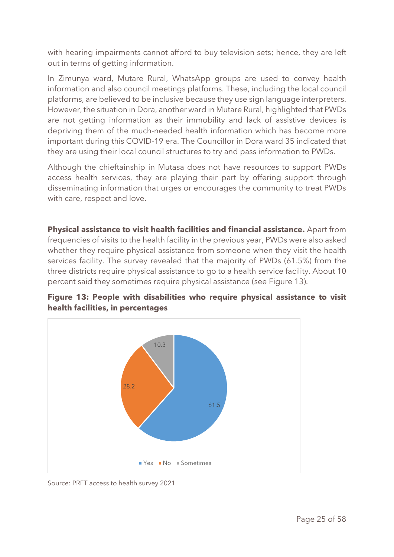with hearing impairments cannot afford to buy television sets; hence, they are left out in terms of getting information.

In Zimunya ward, Mutare Rural, WhatsApp groups are used to convey health information and also council meetings platforms. These, including the local council platforms, are believed to be inclusive because they use sign language interpreters. However, the situation in Dora, another ward in Mutare Rural, highlighted that PWDs are not getting information as their immobility and lack of assistive devices is depriving them of the much-needed health information which has become more important during this COVID-19 era. The Councillor in Dora ward 35 indicated that they are using their local council structures to try and pass information to PWDs.

Although the chieftainship in Mutasa does not have resources to support PWDs access health services, they are playing their part by offering support through disseminating information that urges or encourages the community to treat PWDs with care, respect and love.

**Physical assistance to visit health facilities and financial assistance.** Apart from frequencies of visits to the health facility in the previous year, PWDs were also asked whether they require physical assistance from someone when they visit the health services facility. The survey revealed that the majority of PWDs (61.5%) from the three districts require physical assistance to go to a health service facility. About 10 percent said they sometimes require physical assistance (see Figure 13).



**Figure 13: People with disabilities who require physical assistance to visit health facilities, in percentages**

Source: PRFT access to health survey 2021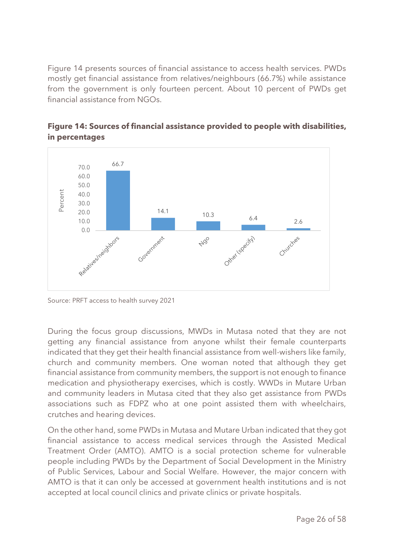Figure 14 presents sources of financial assistance to access health services. PWDs mostly get financial assistance from relatives/neighbours (66.7%) while assistance from the government is only fourteen percent. About 10 percent of PWDs get financial assistance from NGOs.



**Figure 14: Sources of financial assistance provided to people with disabilities, in percentages**

Source: PRFT access to health survey 2021

During the focus group discussions, MWDs in Mutasa noted that they are not getting any financial assistance from anyone whilst their female counterparts indicated that they get their health financial assistance from well-wishers like family, church and community members. One woman noted that although they get financial assistance from community members, the support is not enough to finance medication and physiotherapy exercises, which is costly. WWDs in Mutare Urban and community leaders in Mutasa cited that they also get assistance from PWDs associations such as FDPZ who at one point assisted them with wheelchairs, crutches and hearing devices.

On the other hand, some PWDs in Mutasa and Mutare Urban indicated that they got financial assistance to access medical services through the Assisted Medical Treatment Order (AMTO). AMTO is a social protection scheme for vulnerable people including PWDs by the Department of Social Development in the Ministry of Public Services, Labour and Social Welfare. However, the major concern with AMTO is that it can only be accessed at government health institutions and is not accepted at local council clinics and private clinics or private hospitals.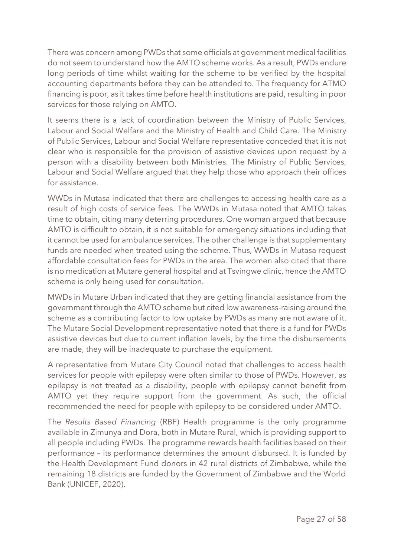There was concern among PWDs that some officials at government medical facilities do not seem to understand how the AMTO scheme works. As a result, PWDs endure long periods of time whilst waiting for the scheme to be verified by the hospital accounting departments before they can be attended to. The frequency for ATMO financing is poor, as it takes time before health institutions are paid, resulting in poor services for those relying on AMTO.

It seems there is a lack of coordination between the Ministry of Public Services, Labour and Social Welfare and the Ministry of Health and Child Care. The Ministry of Public Services, Labour and Social Welfare representative conceded that it is not clear who is responsible for the provision of assistive devices upon request by a person with a disability between both Ministries. The Ministry of Public Services, Labour and Social Welfare argued that they help those who approach their offices for assistance.

WWDs in Mutasa indicated that there are challenges to accessing health care as a result of high costs of service fees. The WWDs in Mutasa noted that AMTO takes time to obtain, citing many deterring procedures. One woman argued that because AMTO is difficult to obtain, it is not suitable for emergency situations including that it cannot be used for ambulance services. The other challenge is that supplementary funds are needed when treated using the scheme. Thus, WWDs in Mutasa request affordable consultation fees for PWDs in the area. The women also cited that there is no medication at Mutare general hospital and at Tsvingwe clinic, hence the AMTO scheme is only being used for consultation.

MWDs in Mutare Urban indicated that they are getting financial assistance from the government through the AMTO scheme but cited low awareness-raising around the scheme as a contributing factor to low uptake by PWDs as many are not aware of it. The Mutare Social Development representative noted that there is a fund for PWDs assistive devices but due to current inflation levels, by the time the disbursements are made, they will be inadequate to purchase the equipment.

A representative from Mutare City Council noted that challenges to access health services for people with epilepsy were often similar to those of PWDs. However, as epilepsy is not treated as a disability, people with epilepsy cannot benefit from AMTO yet they require support from the government. As such, the official recommended the need for people with epilepsy to be considered under AMTO.

The *Results Based Financing* (RBF) Health programme is the only programme available in Zimunya and Dora, both in Mutare Rural, which is providing support to all people including PWDs. The programme rewards health facilities based on their performance – its performance determines the amount disbursed. It is funded by the Health Development Fund donors in 42 rural districts of Zimbabwe, while the remaining 18 districts are funded by the Government of Zimbabwe and the World Bank (UNICEF, 2020).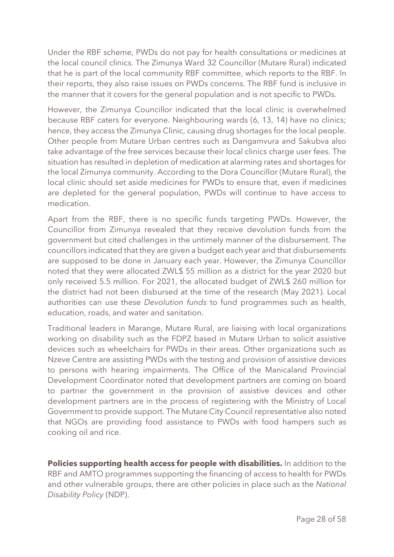Under the RBF scheme, PWDs do not pay for health consultations or medicines at the local council clinics. The Zimunya Ward 32 Councillor (Mutare Rural) indicated that he is part of the local community RBF committee, which reports to the RBF. In their reports, they also raise issues on PWDs concerns. The RBF fund is inclusive in the manner that it covers for the general population and is not specific to PWDs.

However, the Zimunya Councillor indicated that the local clinic is overwhelmed because RBF caters for everyone. Neighbouring wards (6, 13, 14) have no clinics; hence, they access the Zimunya Clinic, causing drug shortages for the local people. Other people from Mutare Urban centres such as Dangamvura and Sakubva also take advantage of the free services because their local clinics charge user fees. The situation has resulted in depletion of medication at alarming rates and shortages for the local Zimunya community. According to the Dora Councillor (Mutare Rural), the local clinic should set aside medicines for PWDs to ensure that, even if medicines are depleted for the general population, PWDs will continue to have access to medication.

Apart from the RBF, there is no specific funds targeting PWDs. However, the Councillor from Zimunya revealed that they receive devolution funds from the government but cited challenges in the untimely manner of the disbursement. The councillors indicated that they are given a budget each year and that disbursements are supposed to be done in January each year. However, the Zimunya Councillor noted that they were allocated ZWL\$ 55 million as a district for the year 2020 but only received 5.5 million. For 2021, the allocated budget of ZWL\$ 260 million for the district had not been disbursed at the time of the research (May 2021). Local authorities can use these *Devolution funds* to fund programmes such as health, education, roads, and water and sanitation.

Traditional leaders in Marange, Mutare Rural, are liaising with local organizations working on disability such as the FDPZ based in Mutare Urban to solicit assistive devices such as wheelchairs for PWDs in their areas. Other organizations such as Nzeve Centre are assisting PWDs with the testing and provision of assistive devices to persons with hearing impairments. The Office of the Manicaland Provincial Development Coordinator noted that development partners are coming on board to partner the government in the provision of assistive devices and other development partners are in the process of registering with the Ministry of Local Government to provide support. The Mutare City Council representative also noted that NGOs are providing food assistance to PWDs with food hampers such as cooking oil and rice.

**Policies supporting health access for people with disabilities.** In addition to the RBF and AMTO programmes supporting the financing of access to health for PWDs and other vulnerable groups, there are other policies in place such as the *National Disability Policy* (NDP).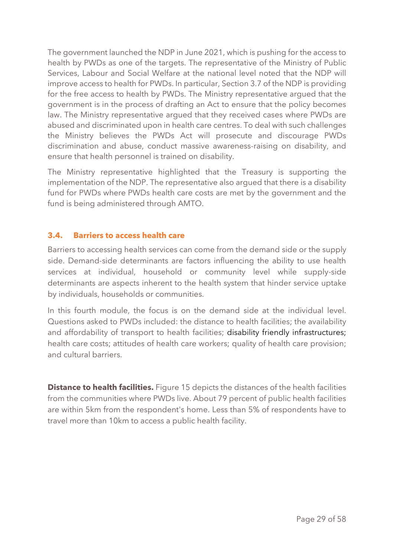The government launched the NDP in June 2021, which is pushing for the access to health by PWDs as one of the targets. The representative of the Ministry of Public Services, Labour and Social Welfare at the national level noted that the NDP will improve access to health for PWDs. In particular, Section 3.7 of the NDP is providing for the free access to health by PWDs. The Ministry representative argued that the government is in the process of drafting an Act to ensure that the policy becomes law. The Ministry representative argued that they received cases where PWDs are abused and discriminated upon in health care centres. To deal with such challenges the Ministry believes the PWDs Act will prosecute and discourage PWDs discrimination and abuse, conduct massive awareness-raising on disability, and ensure that health personnel is trained on disability.

The Ministry representative highlighted that the Treasury is supporting the implementation of the NDP. The representative also argued that there is a disability fund for PWDs where PWDs health care costs are met by the government and the fund is being administered through AMTO.

#### <span id="page-28-0"></span>**3.4. Barriers to access health care**

Barriers to accessing health services can come from the demand side or the supply side. Demand-side determinants are factors influencing the ability to use health services at individual, household or community level while supply-side determinants are aspects inherent to the health system that hinder service uptake by individuals, households or communities.

In this fourth module, the focus is on the demand side at the individual level. Questions asked to PWDs included: the distance to health facilities; the availability and affordability of transport to health facilities; disability friendly infrastructures; health care costs; attitudes of health care workers; quality of health care provision; and cultural barriers.

**Distance to health facilities.** Figure 15 depicts the distances of the health facilities from the communities where PWDs live. About 79 percent of public health facilities are within 5km from the respondent's home. Less than 5% of respondents have to travel more than 10km to access a public health facility.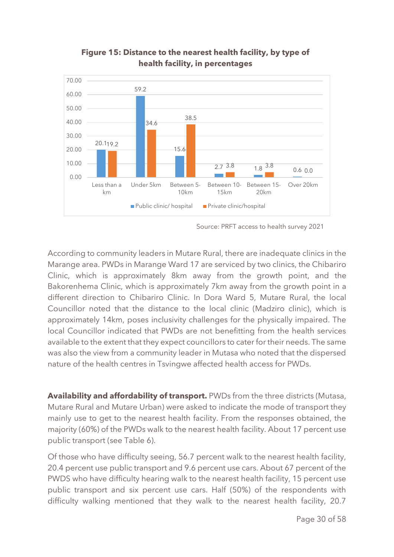

# **Figure 15: Distance to the nearest health facility, by type of health facility, in percentages**

Source: PRFT access to health survey 2021

According to community leaders in Mutare Rural, there are inadequate clinics in the Marange area. PWDs in Marange Ward 17 are serviced by two clinics, the Chibariro Clinic, which is approximately 8km away from the growth point, and the Bakorenhema Clinic, which is approximately 7km away from the growth point in a different direction to Chibariro Clinic. In Dora Ward 5, Mutare Rural, the local Councillor noted that the distance to the local clinic (Madziro clinic), which is approximately 14km, poses inclusivity challenges for the physically impaired. The local Councillor indicated that PWDs are not benefitting from the health services available to the extent that they expect councillors to cater for their needs. The same was also the view from a community leader in Mutasa who noted that the dispersed nature of the health centres in Tsvingwe affected health access for PWDs.

**Availability and affordability of transport.** PWDs from the three districts (Mutasa, Mutare Rural and Mutare Urban) were asked to indicate the mode of transport they mainly use to get to the nearest health facility. From the responses obtained, the majority (60%) of the PWDs walk to the nearest health facility. About 17 percent use public transport (see Table 6).

Of those who have difficulty seeing, 56.7 percent walk to the nearest health facility, 20.4 percent use public transport and 9.6 percent use cars. About 67 percent of the PWDS who have difficulty hearing walk to the nearest health facility, 15 percent use public transport and six percent use cars. Half (50%) of the respondents with difficulty walking mentioned that they walk to the nearest health facility, 20.7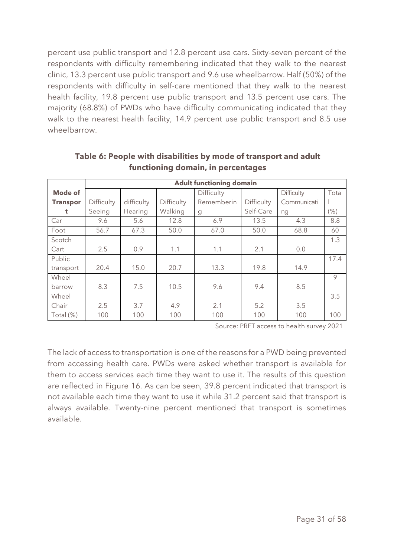percent use public transport and 12.8 percent use cars. Sixty-seven percent of the respondents with difficulty remembering indicated that they walk to the nearest clinic, 13.3 percent use public transport and 9.6 use wheelbarrow. Half (50%) of the respondents with difficulty in self-care mentioned that they walk to the nearest health facility, 19.8 percent use public transport and 13.5 percent use cars. The majority (68.8%) of PWDs who have difficulty communicating indicated that they walk to the nearest health facility, 14.9 percent use public transport and 8.5 use wheelbarrow.

|                 | <b>Adult functioning domain</b> |            |            |                   |            |             |      |  |  |  |
|-----------------|---------------------------------|------------|------------|-------------------|------------|-------------|------|--|--|--|
| Mode of         |                                 |            |            | Difficulty        |            | Difficulty  | Tota |  |  |  |
| <b>Transpor</b> | Difficulty                      | difficulty | Difficulty | <b>Rememberin</b> | Difficulty | Communicati |      |  |  |  |
| t               | Seeing                          | Hearing    | Walking    | g                 | Self-Care  | ng          | (% ) |  |  |  |
| Car             | 9.6                             | 5.6        | 12.8       | 6.9               | 13.5       | 4.3         | 8.8  |  |  |  |
| Foot            | 56.7                            | 67.3       | 50.0       | 67.0              | 50.0       | 68.8        | 60   |  |  |  |
| Scotch          |                                 |            |            |                   |            |             | 1.3  |  |  |  |
| Cart            | 2.5                             | 0.9        | 1.1        | 1.1               | 2.1        | 0.0         |      |  |  |  |
| Public          |                                 |            |            |                   |            |             | 17.4 |  |  |  |
| transport       | 20.4                            | 15.0       | 20.7       | 13.3              | 19.8       | 14.9        |      |  |  |  |
| Wheel           |                                 |            |            |                   |            |             | 9    |  |  |  |
| barrow          | 8.3                             | 7.5        | 10.5       | 9.6               | 9.4        | 8.5         |      |  |  |  |
| Wheel           |                                 |            |            |                   |            |             | 3.5  |  |  |  |
| Chair           | 2.5                             | 3.7        | 4.9        | 2.1               | 5.2        | 3.5         |      |  |  |  |
| Total (%)       | 100                             | 100        | 100        | 100               | 100        | 100         | 100  |  |  |  |

**Table 6: People with disabilities by mode of transport and adult functioning domain, in percentages**

Source: PRFT access to health survey 2021

The lack of access to transportation is one of the reasons for a PWD being prevented from accessing health care. PWDs were asked whether transport is available for them to access services each time they want to use it. The results of this question are reflected in Figure 16. As can be seen, 39.8 percent indicated that transport is not available each time they want to use it while 31.2 percent said that transport is always available. Twenty-nine percent mentioned that transport is sometimes available.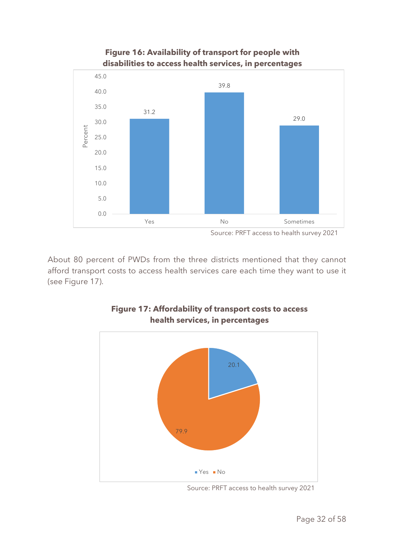

**Figure 16: Availability of transport for people with disabilities to access health services, in percentages**

About 80 percent of PWDs from the three districts mentioned that they cannot afford transport costs to access health services care each time they want to use it (see Figure 17).



#### **Figure 17: Affordability of transport costs to access health services, in percentages**

Source: PRFT access to health survey 2021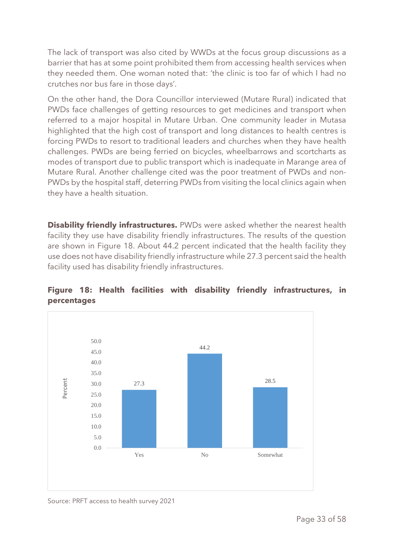The lack of transport was also cited by WWDs at the focus group discussions as a barrier that has at some point prohibited them from accessing health services when they needed them. One woman noted that: 'the clinic is too far of which I had no crutches nor bus fare in those days'.

On the other hand, the Dora Councillor interviewed (Mutare Rural) indicated that PWDs face challenges of getting resources to get medicines and transport when referred to a major hospital in Mutare Urban. One community leader in Mutasa highlighted that the high cost of transport and long distances to health centres is forcing PWDs to resort to traditional leaders and churches when they have health challenges. PWDs are being ferried on bicycles, wheelbarrows and scortcharts as modes of transport due to public transport which is inadequate in Marange area of Mutare Rural. Another challenge cited was the poor treatment of PWDs and non-PWDs by the hospital staff, deterring PWDs from visiting the local clinics again when they have a health situation.

**Disability friendly infrastructures.** PWDs were asked whether the nearest health facility they use have disability friendly infrastructures. The results of the question are shown in Figure 18. About 44.2 percent indicated that the health facility they use does not have disability friendly infrastructure while 27.3 percent said the health facility used has disability friendly infrastructures.



# **Figure 18: Health facilities with disability friendly infrastructures, in percentages**

Source: PRFT access to health survey 2021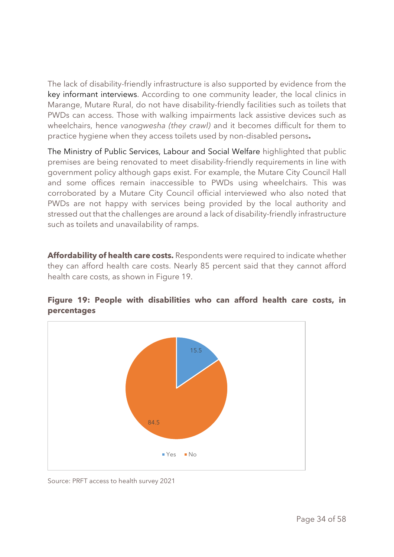The lack of disability-friendly infrastructure is also supported by evidence from the key informant interviews. According to one community leader, the local clinics in Marange, Mutare Rural, do not have disability-friendly facilities such as toilets that PWDs can access. Those with walking impairments lack assistive devices such as wheelchairs, hence *vanogwesha (they crawl)* and it becomes difficult for them to practice hygiene when they access toilets used by non-disabled persons**.** 

The Ministry of Public Services, Labour and Social Welfare highlighted that public premises are being renovated to meet disability-friendly requirements in line with government policy although gaps exist. For example, the Mutare City Council Hall and some offices remain inaccessible to PWDs using wheelchairs. This was corroborated by a Mutare City Council official interviewed who also noted that PWDs are not happy with services being provided by the local authority and stressed out that the challenges are around a lack of disability-friendly infrastructure such as toilets and unavailability of ramps.

**Affordability of health care costs.** Respondents were required to indicate whether they can afford health care costs. Nearly 85 percent said that they cannot afford health care costs, as shown in Figure 19.



#### **Figure 19: People with disabilities who can afford health care costs, in percentages**

Source: PRFT access to health survey 2021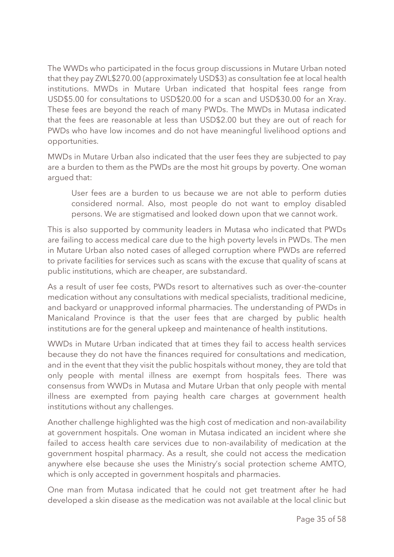The WWDs who participated in the focus group discussions in Mutare Urban noted that they pay ZWL\$270.00 (approximately USD\$3) as consultation fee at local health institutions. MWDs in Mutare Urban indicated that hospital fees range from USD\$5.00 for consultations to USD\$20.00 for a scan and USD\$30.00 for an Xray. These fees are beyond the reach of many PWDs. The MWDs in Mutasa indicated that the fees are reasonable at less than USD\$2.00 but they are out of reach for PWDs who have low incomes and do not have meaningful livelihood options and opportunities.

MWDs in Mutare Urban also indicated that the user fees they are subjected to pay are a burden to them as the PWDs are the most hit groups by poverty. One woman argued that:

User fees are a burden to us because we are not able to perform duties considered normal. Also, most people do not want to employ disabled persons. We are stigmatised and looked down upon that we cannot work.

This is also supported by community leaders in Mutasa who indicated that PWDs are failing to access medical care due to the high poverty levels in PWDs. The men in Mutare Urban also noted cases of alleged corruption where PWDs are referred to private facilities for services such as scans with the excuse that quality of scans at public institutions, which are cheaper, are substandard.

As a result of user fee costs, PWDs resort to alternatives such as over-the-counter medication without any consultations with medical specialists, traditional medicine, and backyard or unapproved informal pharmacies. The understanding of PWDs in Manicaland Province is that the user fees that are charged by public health institutions are for the general upkeep and maintenance of health institutions.

WWDs in Mutare Urban indicated that at times they fail to access health services because they do not have the finances required for consultations and medication, and in the event that they visit the public hospitals without money, they are told that only people with mental illness are exempt from hospitals fees. There was consensus from WWDs in Mutasa and Mutare Urban that only people with mental illness are exempted from paying health care charges at government health institutions without any challenges.

Another challenge highlighted was the high cost of medication and non-availability at government hospitals. One woman in Mutasa indicated an incident where she failed to access health care services due to non-availability of medication at the government hospital pharmacy. As a result, she could not access the medication anywhere else because she uses the Ministry's social protection scheme AMTO, which is only accepted in government hospitals and pharmacies.

One man from Mutasa indicated that he could not get treatment after he had developed a skin disease as the medication was not available at the local clinic but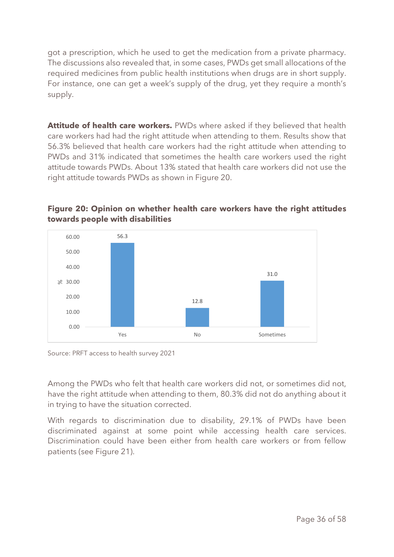got a prescription, which he used to get the medication from a private pharmacy. The discussions also revealed that, in some cases, PWDs get small allocations of the required medicines from public health institutions when drugs are in short supply. For instance, one can get a week's supply of the drug, yet they require a month's supply.

Attitude of health care workers. PWDs where asked if they believed that health care workers had had the right attitude when attending to them. Results show that 56.3% believed that health care workers had the right attitude when attending to PWDs and 31% indicated that sometimes the health care workers used the right attitude towards PWDs. About 13% stated that health care workers did not use the right attitude towards PWDs as shown in Figure 20.



# **Figure 20: Opinion on whether health care workers have the right attitudes towards people with disabilities**

Source: PRFT access to health survey 2021

Among the PWDs who felt that health care workers did not, or sometimes did not, have the right attitude when attending to them, 80.3% did not do anything about it in trying to have the situation corrected.

With regards to discrimination due to disability, 29.1% of PWDs have been discriminated against at some point while accessing health care services. Discrimination could have been either from health care workers or from fellow patients (see Figure 21).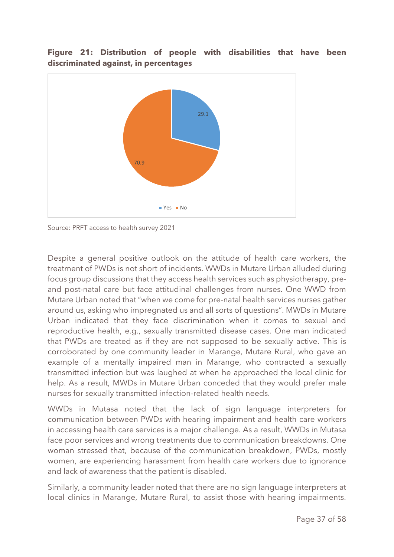#### **Figure 21: Distribution of people with disabilities that have been discriminated against, in percentages**



Source: PRFT access to health survey 2021

Despite a general positive outlook on the attitude of health care workers, the treatment of PWDs is not short of incidents. WWDs in Mutare Urban alluded during focus group discussions that they access health services such as physiotherapy, preand post-natal care but face attitudinal challenges from nurses. One WWD from Mutare Urban noted that "when we come for pre-natal health services nurses gather around us, asking who impregnated us and all sorts of questions". MWDs in Mutare Urban indicated that they face discrimination when it comes to sexual and reproductive health, e.g., sexually transmitted disease cases. One man indicated that PWDs are treated as if they are not supposed to be sexually active. This is corroborated by one community leader in Marange, Mutare Rural, who gave an example of a mentally impaired man in Marange, who contracted a sexually transmitted infection but was laughed at when he approached the local clinic for help. As a result, MWDs in Mutare Urban conceded that they would prefer male nurses for sexually transmitted infection-related health needs.

WWDs in Mutasa noted that the lack of sign language interpreters for communication between PWDs with hearing impairment and health care workers in accessing health care services is a major challenge. As a result, WWDs in Mutasa face poor services and wrong treatments due to communication breakdowns. One woman stressed that, because of the communication breakdown, PWDs, mostly women, are experiencing harassment from health care workers due to ignorance and lack of awareness that the patient is disabled.

Similarly, a community leader noted that there are no sign language interpreters at local clinics in Marange, Mutare Rural, to assist those with hearing impairments.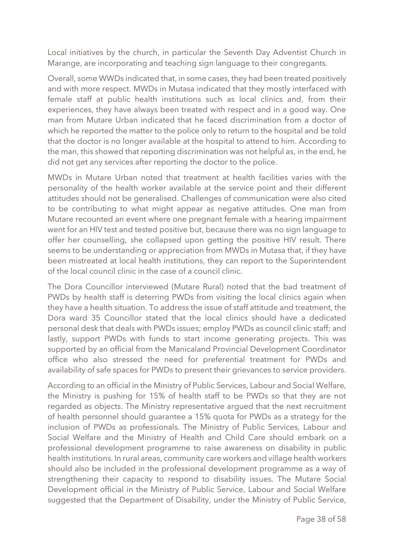Local initiatives by the church, in particular the Seventh Day Adventist Church in Marange, are incorporating and teaching sign language to their congregants.

Overall, some WWDs indicated that, in some cases, they had been treated positively and with more respect. MWDs in Mutasa indicated that they mostly interfaced with female staff at public health institutions such as local clinics and, from their experiences, they have always been treated with respect and in a good way. One man from Mutare Urban indicated that he faced discrimination from a doctor of which he reported the matter to the police only to return to the hospital and be told that the doctor is no longer available at the hospital to attend to him. According to the man, this showed that reporting discrimination was not helpful as, in the end, he did not get any services after reporting the doctor to the police.

MWDs in Mutare Urban noted that treatment at health facilities varies with the personality of the health worker available at the service point and their different attitudes should not be generalised. Challenges of communication were also cited to be contributing to what might appear as negative attitudes. One man from Mutare recounted an event where one pregnant female with a hearing impairment went for an HIV test and tested positive but, because there was no sign language to offer her counselling, she collapsed upon getting the positive HIV result. There seems to be understanding or appreciation from MWDs in Mutasa that, if they have been mistreated at local health institutions, they can report to the Superintendent of the local council clinic in the case of a council clinic.

The Dora Councillor interviewed (Mutare Rural) noted that the bad treatment of PWDs by health staff is deterring PWDs from visiting the local clinics again when they have a health situation. To address the issue of staff attitude and treatment, the Dora ward 35 Councillor stated that the local clinics should have a dedicated personal desk that deals with PWDs issues; employ PWDs as council clinic staff; and lastly, support PWDs with funds to start income generating projects. This was supported by an official from the Manicaland Provincial Development Coordinator office who also stressed the need for preferential treatment for PWDs and availability of safe spaces for PWDs to present their grievances to service providers.

According to an official in the Ministry of Public Services, Labour and Social Welfare, the Ministry is pushing for 15% of health staff to be PWDs so that they are not regarded as objects. The Ministry representative argued that the next recruitment of health personnel should guarantee a 15% quota for PWDs as a strategy for the inclusion of PWDs as professionals. The Ministry of Public Services, Labour and Social Welfare and the Ministry of Health and Child Care should embark on a professional development programme to raise awareness on disability in public health institutions. In rural areas, community care workers and village health workers should also be included in the professional development programme as a way of strengthening their capacity to respond to disability issues. The Mutare Social Development official in the Ministry of Public Service, Labour and Social Welfare suggested that the Department of Disability, under the Ministry of Public Service,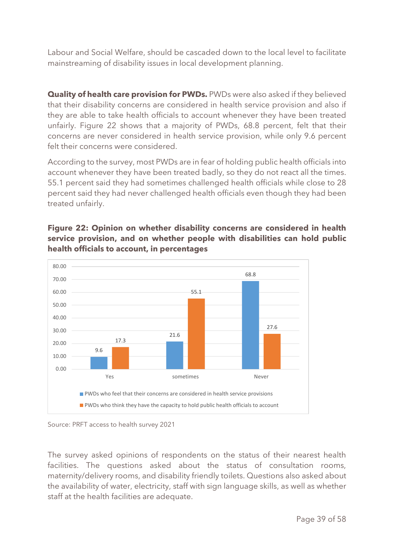Labour and Social Welfare, should be cascaded down to the local level to facilitate mainstreaming of disability issues in local development planning.

**Quality of health care provision for PWDs.** PWDs were also asked if they believed that their disability concerns are considered in health service provision and also if they are able to take health officials to account whenever they have been treated unfairly. Figure 22 shows that a majority of PWDs, 68.8 percent, felt that their concerns are never considered in health service provision, while only 9.6 percent felt their concerns were considered.

According to the survey, most PWDs are in fear of holding public health officials into account whenever they have been treated badly, so they do not react all the times. 55.1 percent said they had sometimes challenged health officials while close to 28 percent said they had never challenged health officials even though they had been treated unfairly.



**Figure 22: Opinion on whether disability concerns are considered in health service provision, and on whether people with disabilities can hold public health officials to account, in percentages**

The survey asked opinions of respondents on the status of their nearest health facilities. The questions asked about the status of consultation rooms, maternity/delivery rooms, and disability friendly toilets. Questions also asked about the availability of water, electricity, staff with sign language skills, as well as whether staff at the health facilities are adequate.

Source: PRFT access to health survey 2021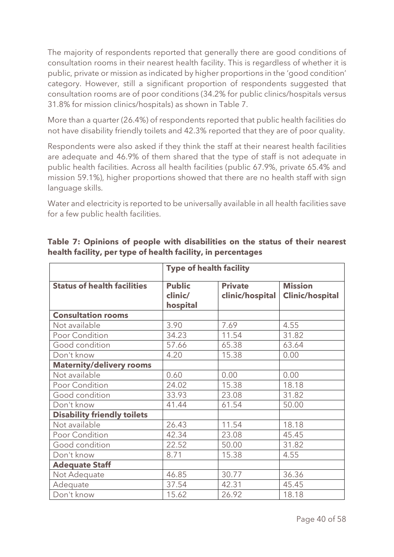The majority of respondents reported that generally there are good conditions of consultation rooms in their nearest health facility. This is regardless of whether it is public, private or mission as indicated by higher proportions in the 'good condition' category. However, still a significant proportion of respondents suggested that consultation rooms are of poor conditions (34.2% for public clinics/hospitals versus 31.8% for mission clinics/hospitals) as shown in Table 7.

More than a quarter (26.4%) of respondents reported that public health facilities do not have disability friendly toilets and 42.3% reported that they are of poor quality.

Respondents were also asked if they think the staff at their nearest health facilities are adequate and 46.9% of them shared that the type of staff is not adequate in public health facilities. Across all health facilities (public 67.9%, private 65.4% and mission 59.1%), higher proportions showed that there are no health staff with sign language skills.

Water and electricity is reported to be universally available in all health facilities save for a few public health facilities.

|                                    | <b>Type of health facility</b>       |                                   |                                          |  |  |  |
|------------------------------------|--------------------------------------|-----------------------------------|------------------------------------------|--|--|--|
| <b>Status of health facilities</b> | <b>Public</b><br>clinic/<br>hospital | <b>Private</b><br>clinic/hospital | <b>Mission</b><br><b>Clinic/hospital</b> |  |  |  |
| <b>Consultation rooms</b>          |                                      |                                   |                                          |  |  |  |
| Not available                      | 3.90                                 | 7.69                              | 4.55                                     |  |  |  |
| Poor Condition                     | 34.23                                | 11.54                             | 31.82                                    |  |  |  |
| Good condition                     | 57.66                                | 65.38                             | 63.64                                    |  |  |  |
| Don't know                         | 4.20                                 | 15.38                             | 0.00                                     |  |  |  |
| <b>Maternity/delivery rooms</b>    |                                      |                                   |                                          |  |  |  |
| Not available                      | 0.60                                 | 0.00                              | 0.00                                     |  |  |  |
| Poor Condition                     | 24.02                                | 15.38                             | 18.18                                    |  |  |  |
| Good condition                     | 33.93                                | 23.08                             | 31.82                                    |  |  |  |
| Don't know                         | 41.44                                | 61.54                             | 50.00                                    |  |  |  |
| <b>Disability friendly toilets</b> |                                      |                                   |                                          |  |  |  |
| Not available                      | 26.43                                | 11.54                             | 18.18                                    |  |  |  |
| Poor Condition                     | 42.34                                | 23.08                             | 45.45                                    |  |  |  |
| Good condition                     | 22.52                                | 50.00                             | 31.82                                    |  |  |  |
| Don't know                         | 8.71                                 | 15.38                             | 4.55                                     |  |  |  |
| <b>Adequate Staff</b>              |                                      |                                   |                                          |  |  |  |
| Not Adequate                       | 46.85                                | 30.77                             | 36.36                                    |  |  |  |
| Adequate                           | 37.54                                | 42.31                             | 45.45                                    |  |  |  |
| Don't know                         | 15.62                                | 26.92                             | 18.18                                    |  |  |  |

**Table 7: Opinions of people with disabilities on the status of their nearest health facility, per type of health facility, in percentages**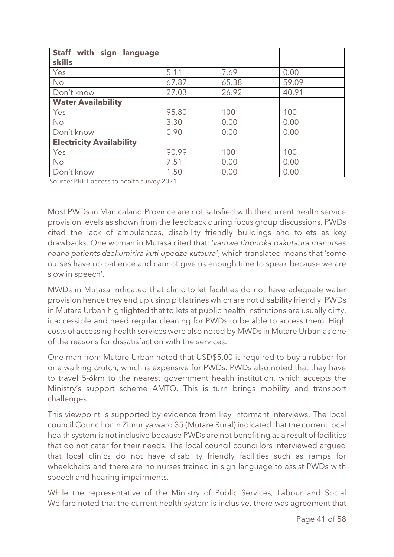| Staff with sign<br>language     |       |       |       |
|---------------------------------|-------|-------|-------|
| <b>skills</b>                   |       |       |       |
| Yes                             | 5.11  | 7.69  | 0.00  |
| No                              | 67.87 | 65.38 | 59.09 |
| Don't know                      | 27.03 | 26.92 | 40.91 |
| <b>Water Availability</b>       |       |       |       |
| Yes                             | 95.80 | 100   | 100   |
| <b>No</b>                       | 3.30  | 0.00  | 0.00  |
| Don't know                      | 0.90  | 0.00  | 0.00  |
| <b>Electricity Availability</b> |       |       |       |
| Yes                             | 90.99 | 100   | 100   |
| <b>No</b>                       | 7.51  | 0.00  | 0.00  |
| Don't know                      | 1.50  | 0.00  | 0.00  |

Source: PRFT access to health survey 2021

Most PWDs in Manicaland Province are not satisfied with the current health service provision levels as shown from the feedback during focus group discussions. PWDs cited the lack of ambulances, disability friendly buildings and toilets as key drawbacks. One woman in Mutasa cited that: '*vamwe tinonoka pakutaura manurses haana patients dzekumirira kuti upedze kutaura*', which translated means that 'some nurses have no patience and cannot give us enough time to speak because we are slow in speech'.

MWDs in Mutasa indicated that clinic toilet facilities do not have adequate water provision hence they end up using pit latrines which are not disability friendly. PWDs in Mutare Urban highlighted that toilets at public health institutions are usually dirty, inaccessible and need regular cleaning for PWDs to be able to access them. High costs of accessing health services were also noted by MWDs in Mutare Urban as one of the reasons for dissatisfaction with the services.

One man from Mutare Urban noted that USD\$5.00 is required to buy a rubber for one walking crutch, which is expensive for PWDs. PWDs also noted that they have to travel 5-6km to the nearest government health institution, which accepts the Ministry's support scheme AMTO. This is turn brings mobility and transport challenges.

This viewpoint is supported by evidence from key informant interviews. The local council Councillor in Zimunya ward 35 (Mutare Rural) indicated that the current local health system is not inclusive because PWDs are not benefiting as a result of facilities that do not cater for their needs. The local council councillors interviewed argued that local clinics do not have disability friendly facilities such as ramps for wheelchairs and there are no nurses trained in sign language to assist PWDs with speech and hearing impairments.

While the representative of the Ministry of Public Services, Labour and Social Welfare noted that the current health system is inclusive, there was agreement that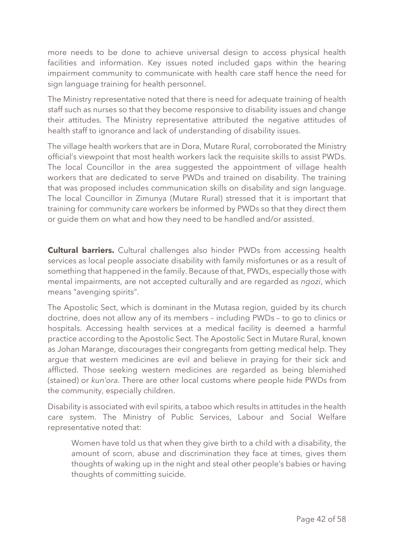more needs to be done to achieve universal design to access physical health facilities and information. Key issues noted included gaps within the hearing impairment community to communicate with health care staff hence the need for sign language training for health personnel.

The Ministry representative noted that there is need for adequate training of health staff such as nurses so that they become responsive to disability issues and change their attitudes. The Ministry representative attributed the negative attitudes of health staff to ignorance and lack of understanding of disability issues.

The village health workers that are in Dora, Mutare Rural, corroborated the Ministry official's viewpoint that most health workers lack the requisite skills to assist PWDs. The local Councillor in the area suggested the appointment of village health workers that are dedicated to serve PWDs and trained on disability. The training that was proposed includes communication skills on disability and sign language. The local Councillor in Zimunya (Mutare Rural) stressed that it is important that training for community care workers be informed by PWDs so that they direct them or guide them on what and how they need to be handled and/or assisted.

**Cultural barriers.** Cultural challenges also hinder PWDs from accessing health services as local people associate disability with family misfortunes or as a result of something that happened in the family. Because of that, PWDs, especially those with mental impairments, are not accepted culturally and are regarded as *ngozi*, which means "avenging spirits".

The Apostolic Sect, which is dominant in the Mutasa region, guided by its church doctrine, does not allow any of its members – including PWDs – to go to clinics or hospitals. Accessing health services at a medical facility is deemed a harmful practice according to the Apostolic Sect. The Apostolic Sect in Mutare Rural, known as Johan Marange, discourages their congregants from getting medical help. They argue that western medicines are evil and believe in praying for their sick and afflicted. Those seeking western medicines are regarded as being blemished (stained) or *kun'ora.* There are other local customs where people hide PWDs from the community, especially children.

Disability is associated with evil spirits, a taboo which results in attitudes in the health care system. The Ministry of Public Services, Labour and Social Welfare representative noted that:

Women have told us that when they give birth to a child with a disability, the amount of scorn, abuse and discrimination they face at times, gives them thoughts of waking up in the night and steal other people's babies or having thoughts of committing suicide.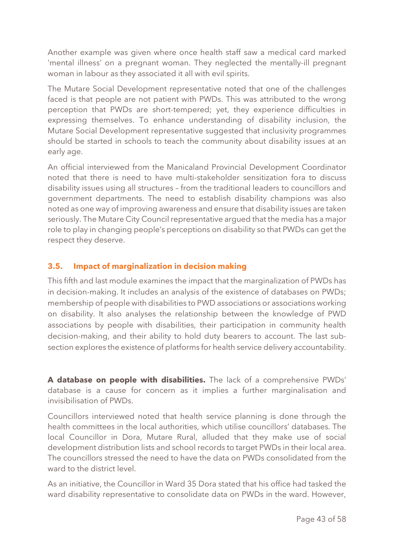Another example was given where once health staff saw a medical card marked 'mental illness' on a pregnant woman. They neglected the mentally-ill pregnant woman in labour as they associated it all with evil spirits.

The Mutare Social Development representative noted that one of the challenges faced is that people are not patient with PWDs. This was attributed to the wrong perception that PWDs are short-tempered; yet, they experience difficulties in expressing themselves. To enhance understanding of disability inclusion, the Mutare Social Development representative suggested that inclusivity programmes should be started in schools to teach the community about disability issues at an early age.

An official interviewed from the Manicaland Provincial Development Coordinator noted that there is need to have multi-stakeholder sensitization fora to discuss disability issues using all structures – from the traditional leaders to councillors and government departments. The need to establish disability champions was also noted as one way of improving awareness and ensure that disability issues are taken seriously. The Mutare City Council representative argued that the media has a major role to play in changing people's perceptions on disability so that PWDs can get the respect they deserve.

#### <span id="page-42-0"></span>**3.5. Impact of marginalization in decision making**

This fifth and last module examines the impact that the marginalization of PWDs has in decision-making. It includes an analysis of the existence of databases on PWDs; membership of people with disabilities to PWD associations or associations working on disability. It also analyses the relationship between the knowledge of PWD associations by people with disabilities, their participation in community health decision-making, and their ability to hold duty bearers to account. The last subsection explores the existence of platforms for health service delivery accountability.

**A database on people with disabilities.** The lack of a comprehensive PWDs' database is a cause for concern as it implies a further marginalisation and invisibilisation of PWDs.

Councillors interviewed noted that health service planning is done through the health committees in the local authorities, which utilise councillors' databases. The local Councillor in Dora, Mutare Rural, alluded that they make use of social development distribution lists and school records to target PWDs in their local area. The councillors stressed the need to have the data on PWDs consolidated from the ward to the district level.

As an initiative, the Councillor in Ward 35 Dora stated that his office had tasked the ward disability representative to consolidate data on PWDs in the ward. However,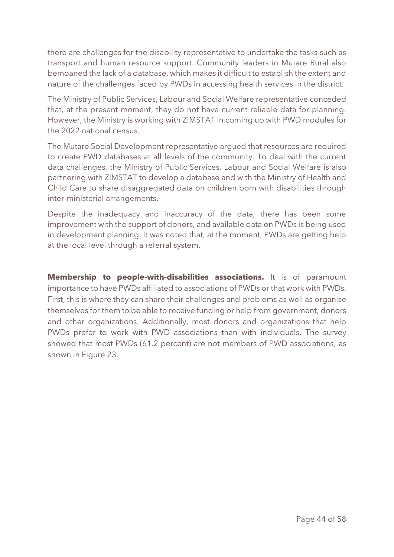there are challenges for the disability representative to undertake the tasks such as transport and human resource support. Community leaders in Mutare Rural also bemoaned the lack of a database, which makes it difficult to establish the extent and nature of the challenges faced by PWDs in accessing health services in the district.

The Ministry of Public Services, Labour and Social Welfare representative conceded that, at the present moment, they do not have current reliable data for planning. However, the Ministry is working with ZIMSTAT in coming up with PWD modules for the 2022 national census.

The Mutare Social Development representative argued that resources are required to create PWD databases at all levels of the community. To deal with the current data challenges, the Ministry of Public Services, Labour and Social Welfare is also partnering with ZIMSTAT to develop a database and with the Ministry of Health and Child Care to share disaggregated data on children born with disabilities through inter-ministerial arrangements.

Despite the inadequacy and inaccuracy of the data, there has been some improvement with the support of donors, and available data on PWDs is being used in development planning. It was noted that, at the moment, PWDs are getting help at the local level through a referral system.

**Membership to people-with-disabilities associations.** It is of paramount importance to have PWDs affiliated to associations of PWDs or that work with PWDs. First, this is where they can share their challenges and problems as well as organise themselves for them to be able to receive funding or help from government, donors and other organizations. Additionally, most donors and organizations that help PWDs prefer to work with PWD associations than with individuals. The survey showed that most PWDs (61.2 percent) are not members of PWD associations, as shown in Figure 23.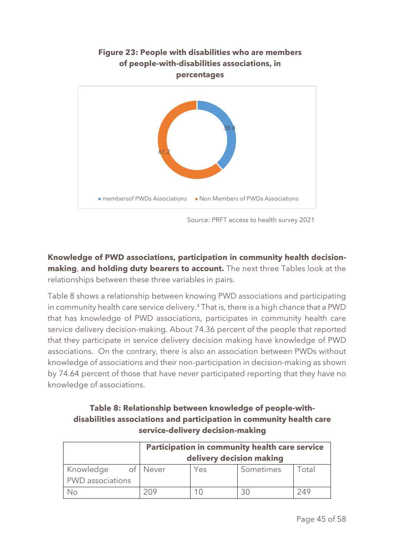

Source: PRFT access to health survey 2021

**Knowledge of PWD associations, participation in community health decisionmaking**, **and holding duty bearers to account.** The next three Tables look at the relationships between these three variables in pairs.

Table 8 shows a relationship between knowing PWD associations and participating in community health care service delivery.<sup>4</sup> That is, there is a high chance that a PWD that has knowledge of PWD associations, participates in community health care service delivery decision-making. About 74.36 percent of the people that reported that they participate in service delivery decision making have knowledge of PWD associations. On the contrary, there is also an association between PWDs without knowledge of associations and their non-participation in decision-making as shown by 74.64 percent of those that have never participated reporting that they have no knowledge of associations.

# **Table 8: Relationship between knowledge of people-withdisabilities associations and participation in community health care service-delivery decision-making**

|                         | <b>Participation in community health care service</b> |     |           |       |
|-------------------------|-------------------------------------------------------|-----|-----------|-------|
|                         | delivery decision making                              |     |           |       |
| Knowledge               | of Never                                              | Yes | Sometimes | Total |
| <b>PWD</b> associations |                                                       |     |           |       |
| Nο                      | 209                                                   |     | 30        | 249   |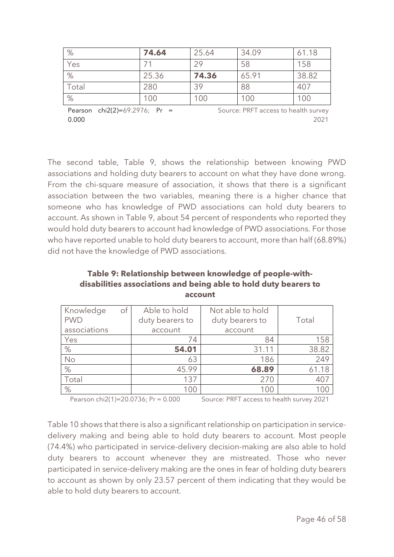| %     | 74.64 | 25.64 | 34.09 | 61.18 |
|-------|-------|-------|-------|-------|
| Yes   |       | 29    | 58    | 158   |
| %     | 25.36 | 74.36 | 65.91 | 38.82 |
| Total | 280   | 39    | 88    | 407   |
| %     | 100   | 100   | 100   | 100   |

Pearson chi2(2)=69.2976; Pr = 0.000 Source: PRFT access to health survey 2021

The second table, Table 9, shows the relationship between knowing PWD associations and holding duty bearers to account on what they have done wrong. From the chi-square measure of association, it shows that there is a significant association between the two variables, meaning there is a higher chance that someone who has knowledge of PWD associations can hold duty bearers to account. As shown in Table 9, about 54 percent of respondents who reported they would hold duty bearers to account had knowledge of PWD associations. For those who have reported unable to hold duty bearers to account, more than half (68.89%) did not have the knowledge of PWD associations.

#### **Table 9: Relationship between knowledge of people-withdisabilities associations and being able to hold duty bearers to account**

| $\circ$ f<br>Knowledge<br><b>PWD</b><br>associations | Able to hold<br>duty bearers to<br>account | Not able to hold<br>duty bearers to<br>account | Total |
|------------------------------------------------------|--------------------------------------------|------------------------------------------------|-------|
| Yes                                                  | 74                                         | 84                                             | 158   |
| %                                                    | 54.01                                      | 31.11                                          | 38.82 |
| No                                                   | 63                                         | 186                                            | 249   |
| %                                                    | 45.99                                      | 68.89                                          | 61.18 |
| Total                                                | 137                                        | 270                                            | 407   |
| %                                                    | 100                                        | 100                                            | ( )   |

Pearson chi2(1)=20.0736; Pr = 0.000 Source: PRFT access to health survey 2021

Table 10 shows that there is also a significant relationship on participation in servicedelivery making and being able to hold duty bearers to account. Most people (74.4%) who participated in service-delivery decision-making are also able to hold duty bearers to account whenever they are mistreated. Those who never participated in service-delivery making are the ones in fear of holding duty bearers to account as shown by only 23.57 percent of them indicating that they would be able to hold duty bearers to account.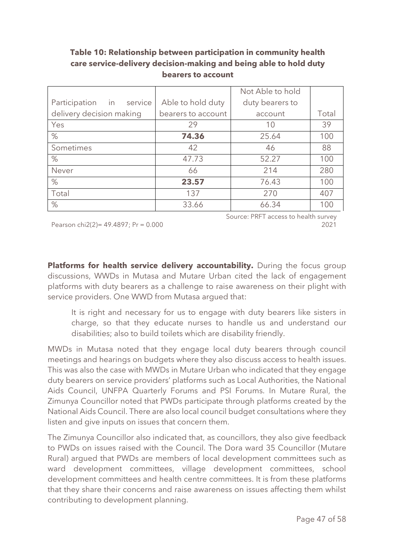# **Table 10: Relationship between participation in community health care service-delivery decision-making and being able to hold duty bearers to account**

|                                   |                    | Not Able to hold |       |
|-----------------------------------|--------------------|------------------|-------|
| Participation<br>in in<br>service | Able to hold duty  | duty bearers to  |       |
| delivery decision making          | bearers to account | account          | Total |
| Yes                               | 29                 | 10               | 39    |
| %                                 | 74.36              | 25.64            | 100   |
| Sometimes                         | 42                 | 46               | 88    |
| %                                 | 47.73              | 52.27            | 100   |
| Never                             | 66                 | 214              | 280   |
| %                                 | 23.57              | 76.43            | 100   |
| Total                             | 137                | 270              | 407   |
| $\%$                              | 33.66              | 66.34            | 100   |

Pearson chi2(2)= 49.4897; Pr = 0.000

Source: PRFT access to health survey 2021

Platforms for health service delivery accountability. During the focus group discussions, WWDs in Mutasa and Mutare Urban cited the lack of engagement platforms with duty bearers as a challenge to raise awareness on their plight with service providers. One WWD from Mutasa argued that:

It is right and necessary for us to engage with duty bearers like sisters in charge, so that they educate nurses to handle us and understand our disabilities; also to build toilets which are disability friendly.

MWDs in Mutasa noted that they engage local duty bearers through council meetings and hearings on budgets where they also discuss access to health issues. This was also the case with MWDs in Mutare Urban who indicated that they engage duty bearers on service providers' platforms such as Local Authorities, the National Aids Council, UNFPA Quarterly Forums and PSI Forums. In Mutare Rural, the Zimunya Councillor noted that PWDs participate through platforms created by the National Aids Council. There are also local council budget consultations where they listen and give inputs on issues that concern them.

The Zimunya Councillor also indicated that, as councillors, they also give feedback to PWDs on issues raised with the Council. The Dora ward 35 Councillor (Mutare Rural) argued that PWDs are members of local development committees such as ward development committees, village development committees, school development committees and health centre committees. It is from these platforms that they share their concerns and raise awareness on issues affecting them whilst contributing to development planning.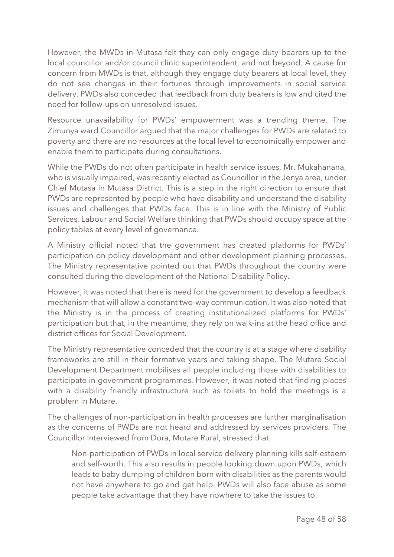However, the MWDs in Mutasa felt they can only engage duty bearers up to the local councillor and/or council clinic superintendent, and not beyond. A cause for concern from MWDs is that, although they engage duty bearers at local level, they do not see changes in their fortunes through improvements in social service delivery. PWDs also conceded that feedback from duty bearers is low and cited the need for follow-ups on unresolved issues.

Resource unavailability for PWDs' empowerment was a trending theme. The Zimunya ward Councillor argued that the major challenges for PWDs are related to poverty and there are no resources at the local level to economically empower and enable them to participate during consultations.

While the PWDs do not often participate in health service issues, Mr. Mukahanana, who is visually impaired, was recently elected as Councillor in the Jenya area, under Chief Mutasa in Mutasa District. This is a step in the right direction to ensure that PWDs are represented by people who have disability and understand the disability issues and challenges that PWDs face. This is in line with the Ministry of Public Services, Labour and Social Welfare thinking that PWDs should occupy space at the policy tables at every level of governance.

A Ministry official noted that the government has created platforms for PWDs' participation on policy development and other development planning processes. The Ministry representative pointed out that PWDs throughout the country were consulted during the development of the National Disability Policy.

However, it was noted that there is need for the government to develop a feedback mechanism that will allow a constant two-way communication. It was also noted that the Ministry is in the process of creating institutionalized platforms for PWDs' participation but that, in the meantime, they rely on walk-ins at the head office and district offices for Social Development.

The Ministry representative conceded that the country is at a stage where disability frameworks are still in their formative years and taking shape. The Mutare Social Development Department mobilises all people including those with disabilities to participate in government programmes. However, it was noted that finding places with a disability friendly infrastructure such as toilets to hold the meetings is a problem in Mutare.

The challenges of non-participation in health processes are further marginalisation as the concerns of PWDs are not heard and addressed by services providers. The Councillor interviewed from Dora, Mutare Rural, stressed that:

Non-participation of PWDs in local service delivery planning kills self-esteem and self-worth. This also results in people looking down upon PWDs, which leads to baby dumping of children born with disabilities as the parents would not have anywhere to go and get help. PWDs will also face abuse as some people take advantage that they have nowhere to take the issues to.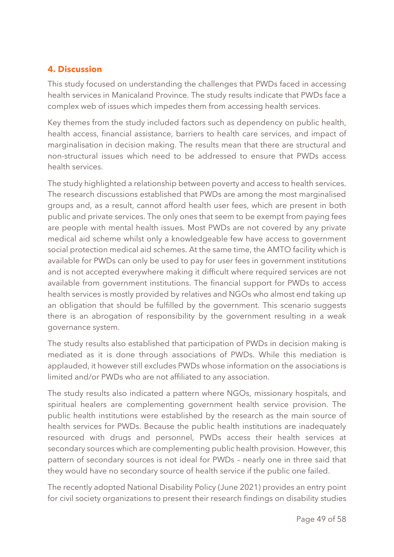# <span id="page-48-0"></span>**4. Discussion**

This study focused on understanding the challenges that PWDs faced in accessing health services in Manicaland Province. The study results indicate that PWDs face a complex web of issues which impedes them from accessing health services.

Key themes from the study included factors such as dependency on public health, health access, financial assistance, barriers to health care services, and impact of marginalisation in decision making. The results mean that there are structural and non-structural issues which need to be addressed to ensure that PWDs access health services.

The study highlighted a relationship between poverty and access to health services. The research discussions established that PWDs are among the most marginalised groups and, as a result, cannot afford health user fees, which are present in both public and private services. The only ones that seem to be exempt from paying fees are people with mental health issues. Most PWDs are not covered by any private medical aid scheme whilst only a knowledgeable few have access to government social protection medical aid schemes. At the same time, the AMTO facility which is available for PWDs can only be used to pay for user fees in government institutions and is not accepted everywhere making it difficult where required services are not available from government institutions. The financial support for PWDs to access health services is mostly provided by relatives and NGOs who almost end taking up an obligation that should be fulfilled by the government. This scenario suggests there is an abrogation of responsibility by the government resulting in a weak governance system.

The study results also established that participation of PWDs in decision making is mediated as it is done through associations of PWDs. While this mediation is applauded, it however still excludes PWDs whose information on the associations is limited and/or PWDs who are not affiliated to any association.

The study results also indicated a pattern where NGOs, missionary hospitals, and spiritual healers are complementing government health service provision. The public health institutions were established by the research as the main source of health services for PWDs. Because the public health institutions are inadequately resourced with drugs and personnel, PWDs access their health services at secondary sources which are complementing public health provision. However, this pattern of secondary sources is not ideal for PWDs – nearly one in three said that they would have no secondary source of health service if the public one failed.

The recently adopted National Disability Policy (June 2021) provides an entry point for civil society organizations to present their research findings on disability studies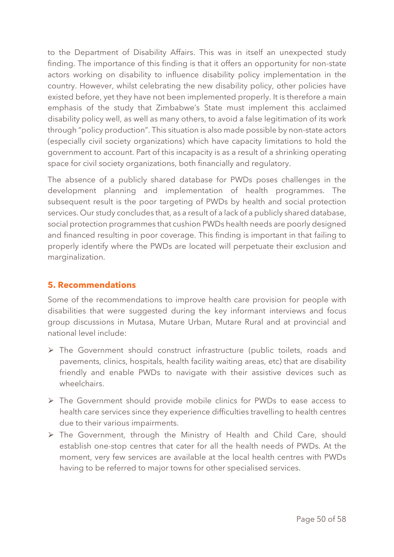to the Department of Disability Affairs. This was in itself an unexpected study finding. The importance of this finding is that it offers an opportunity for non-state actors working on disability to influence disability policy implementation in the country. However, whilst celebrating the new disability policy, other policies have existed before, yet they have not been implemented properly. It is therefore a main emphasis of the study that Zimbabwe's State must implement this acclaimed disability policy well, as well as many others, to avoid a false legitimation of its work through "policy production". This situation is also made possible by non-state actors (especially civil society organizations) which have capacity limitations to hold the government to account. Part of this incapacity is as a result of a shrinking operating space for civil society organizations, both financially and regulatory.

The absence of a publicly shared database for PWDs poses challenges in the development planning and implementation of health programmes. The subsequent result is the poor targeting of PWDs by health and social protection services. Our study concludes that, as a result of a lack of a publicly shared database, social protection programmes that cushion PWDs health needs are poorly designed and financed resulting in poor coverage. This finding is important in that failing to properly identify where the PWDs are located will perpetuate their exclusion and marginalization.

# <span id="page-49-0"></span>**5. Recommendations**

Some of the recommendations to improve health care provision for people with disabilities that were suggested during the key informant interviews and focus group discussions in Mutasa, Mutare Urban, Mutare Rural and at provincial and national level include:

- ⮚ The Government should construct infrastructure (public toilets, roads and pavements, clinics, hospitals, health facility waiting areas, etc) that are disability friendly and enable PWDs to navigate with their assistive devices such as wheelchairs.
- ⮚ The Government should provide mobile clinics for PWDs to ease access to health care services since they experience difficulties travelling to health centres due to their various impairments.
- $\triangleright$  The Government, through the Ministry of Health and Child Care, should establish one-stop centres that cater for all the health needs of PWDs. At the moment, very few services are available at the local health centres with PWDs having to be referred to major towns for other specialised services.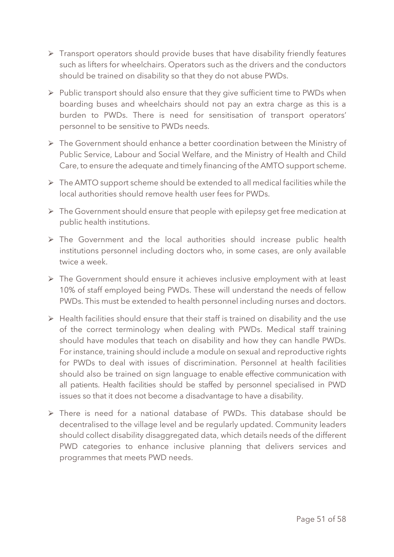- $\triangleright$  Transport operators should provide buses that have disability friendly features such as lifters for wheelchairs. Operators such as the drivers and the conductors should be trained on disability so that they do not abuse PWDs.
- ▶ Public transport should also ensure that they give sufficient time to PWDs when boarding buses and wheelchairs should not pay an extra charge as this is a burden to PWDs. There is need for sensitisation of transport operators' personnel to be sensitive to PWDs needs.
- ⮚ The Government should enhance a better coordination between the Ministry of Public Service, Labour and Social Welfare, and the Ministry of Health and Child Care, to ensure the adequate and timely financing of the AMTO support scheme.
- $\triangleright$  The AMTO support scheme should be extended to all medical facilities while the local authorities should remove health user fees for PWDs.
- $\triangleright$  The Government should ensure that people with epilepsy get free medication at public health institutions.
- $\triangleright$  The Government and the local authorities should increase public health institutions personnel including doctors who, in some cases, are only available twice a week.
- ▶ The Government should ensure it achieves inclusive employment with at least 10% of staff employed being PWDs. These will understand the needs of fellow PWDs. This must be extended to health personnel including nurses and doctors.
- $\triangleright$  Health facilities should ensure that their staff is trained on disability and the use of the correct terminology when dealing with PWDs. Medical staff training should have modules that teach on disability and how they can handle PWDs. For instance, training should include a module on sexual and reproductive rights for PWDs to deal with issues of discrimination. Personnel at health facilities should also be trained on sign language to enable effective communication with all patients. Health facilities should be staffed by personnel specialised in PWD issues so that it does not become a disadvantage to have a disability.
- $\triangleright$  There is need for a national database of PWDs. This database should be decentralised to the village level and be regularly updated. Community leaders should collect disability disaggregated data, which details needs of the different PWD categories to enhance inclusive planning that delivers services and programmes that meets PWD needs.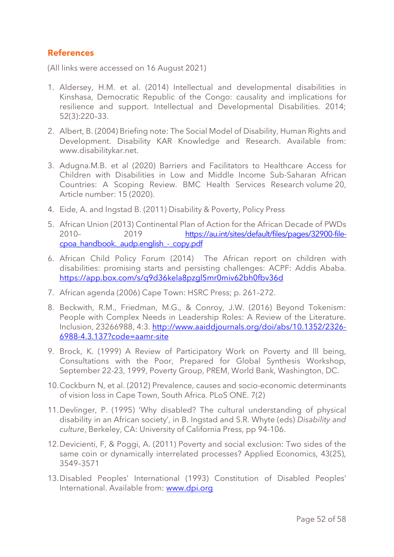#### <span id="page-51-0"></span>**References**

(All links were accessed on 16 August 2021)

- 1. Aldersey, H.M. et al. (2014) Intellectual and developmental disabilities in Kinshasa, Democratic Republic of the Congo: causality and implications for resilience and support. Intellectual and Developmental Disabilities. 2014; 52(3):220–33.
- 2. Albert, B. (2004) Briefing note: The Social Model of Disability, Human Rights and Development. Disability KAR Knowledge and Research. Available from: www.disabilitykar.net.
- 3. Adugna.M.B. et al (2020) Barriers and Facilitators to Healthcare Access for Children with Disabilities in Low and Middle Income Sub-Saharan African Countries: A Scoping Review. BMC Health Services Research volume 20, Article number: 15 (2020).
- 4. Eide, A. and Ingstad B. (2011) Disability & Poverty, Policy Press
- 5. African Union (2013) Continental Plan of Action for the African Decade of PWDs 2010– 2019 [https://au.int/sites/default/files/pages/32900-file](https://au.int/sites/default/files/pages/32900-file-cpoa_handbook._audp.english_-_copy.pdf)cpoa\_handbook.\_audp.english -\_copy.pdf
- 6. African Child Policy Forum (2014) The African report on children with disabilities: promising starts and persisting challenges: ACPF: Addis Ababa. <https://app.box.com/s/q9d36kela8pzgl5mr0miv62bh0fbv36d>
- 7. African agenda (2006) Cape Town: HSRC Press; p. 261–272.
- 8. Beckwith, R.M., Friedman, M.G., & Conroy, J.W. (2016) Beyond Tokenism: People with Complex Needs in Leadership Roles: A Review of the Literature. Inclusion, 23266988, 4:3. [http://www.aaiddjournals.org/doi/abs/10.1352/2326-](http://www.aaiddjournals.org/doi/abs/10.1352/2326-6988-4.3.137?code=aamr-site) [6988-4.3.137?code=aamr-site](http://www.aaiddjournals.org/doi/abs/10.1352/2326-6988-4.3.137?code=aamr-site)
- 9. Brock, K. (1999) A Review of Participatory Work on Poverty and Ill being, Consultations with the Poor, Prepared for Global Synthesis Workshop, September 22-23, 1999, Poverty Group, PREM, World Bank, Washington, DC.
- 10.Cockburn N, et al. (2012) Prevalence, causes and socio-economic determinants of vision loss in Cape Town, South Africa. PLoS ONE. 7(2)
- 11.Devlinger, P. (1995) 'Why disabled? The cultural understanding of physical disability in an African society', in B. Ingstad and S.R. Whyte (eds) *Disability and culture*, Berkeley, CA: University of California Press, pp 94-106.
- 12.Devicienti, F, & Poggi, A. (2011) Poverty and social exclusion: Two sides of the same coin or dynamically interrelated processes? Applied Economics, 43(25), 3549–3571
- 13.Disabled Peoples' International (1993) Constitution of Disabled Peoples' International. Available from: [www.dpi.org](http://www.dpi.org/)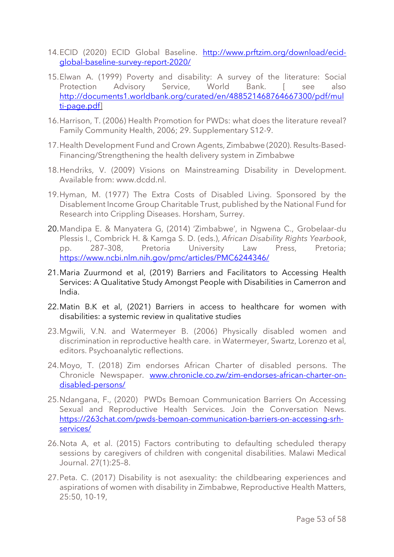- 14.ECID (2020) ECID Global Baseline. [http://www.prftzim.org/download/ecid](http://www.prftzim.org/download/ecid-global-baseline-survey-report-2020/)[global-baseline-survey-report-2020/](http://www.prftzim.org/download/ecid-global-baseline-survey-report-2020/)
- 15.Elwan A. (1999) Poverty and disability: A survey of the literature: Social Protection Advisory Service, World Bank. [ see also [http://documents1.worldbank.org/curated/en/488521468764667300/pdf/mul](http://documents1.worldbank.org/curated/en/488521468764667300/pdf/multi-page.pdf) [ti-page.pdf\]](http://documents1.worldbank.org/curated/en/488521468764667300/pdf/multi-page.pdf)
- 16.Harrison, T. (2006) Health Promotion for PWDs: what does the literature reveal? Family Community Health, 2006; 29. Supplementary S12-9.
- 17.Health Development Fund and Crown Agents, Zimbabwe (2020). Results-Based-Financing/Strengthening the health delivery system in Zimbabwe
- 18.Hendriks, V. (2009) Visions on Mainstreaming Disability in Development. Available from: www.dcdd.nl.
- 19.Hyman, M. (1977) The Extra Costs of Disabled Living. Sponsored by the Disablement Income Group Charitable Trust, published by the National Fund for Research into Crippling Diseases. Horsham, Surrey.
- 20.Mandipa E. & Manyatera G, (2014) 'Zimbabwe', in Ngwena C., Grobelaar-du Plessis I., Combrick H. & Kamga S. D. (eds.), *African Disability Rights Yearbook*, pp. 287–308, Pretoria University Law Press, Pretoria; <https://www.ncbi.nlm.nih.gov/pmc/articles/PMC6244346/>
- 21.Maria Zuurmond et al, (2019) Barriers and Facilitators to Accessing Health Services: A Qualitative Study Amongst People with Disabilities in Camerron and India.
- 22.Matin B.K et al, (2021) Barriers in access to healthcare for women with disabilities: a systemic review in qualitative studies
- 23.Mgwili, V.N. and Watermeyer B. (2006) Physically disabled women and discrimination in reproductive health care. in Watermeyer, Swartz, Lorenzo et al, editors. Psychoanalytic reflections.
- 24.Moyo, T. (2018) Zim endorses African Charter of disabled persons. The Chronicle Newspaper. [www.chronicle.co.zw/zim-endorses-african-charter-on](http://www.chronicle.co.zw/zim-endorses-african-charter-on-disabled-persons/)[disabled-persons/](http://www.chronicle.co.zw/zim-endorses-african-charter-on-disabled-persons/)
- 25.Ndangana, F., (2020) PWDs Bemoan Communication Barriers On Accessing Sexual and Reproductive Health Services. Join the Conversation News. [https://263chat.com/pwds-bemoan-communication-barriers-on-accessing-srh](https://263chat.com/pwds-bemoan-communication-barriers-on-accessing-srh-services/)[services/](https://263chat.com/pwds-bemoan-communication-barriers-on-accessing-srh-services/)
- 26.Nota A, et al. (2015) Factors contributing to defaulting scheduled therapy sessions by caregivers of children with congenital disabilities. Malawi Medical Journal. 27(1):25–8.
- 27.Peta. C. (2017) Disability is not asexuality: the childbearing experiences and aspirations of women with disability in Zimbabwe, Reproductive Health Matters, 25:50, 10-19,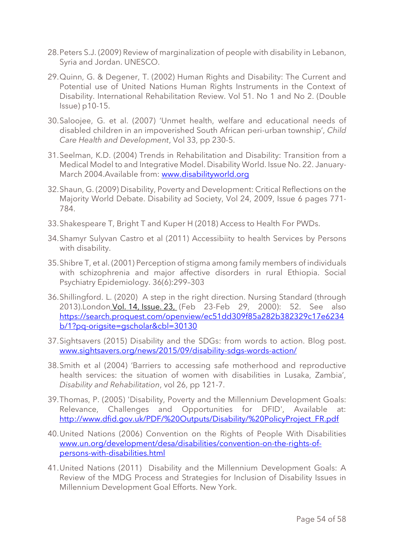- 28.Peters S.J. (2009) Review of marginalization of people with disability in Lebanon, Syria and Jordan. UNESCO.
- 29.Quinn, G. & Degener, T. (2002) Human Rights and Disability: The Current and Potential use of United Nations Human Rights Instruments in the Context of Disability. International Rehabilitation Review. Vol 51. No 1 and No 2. (Double Issue) p10-15.
- 30.Saloojee, G. et al. (2007) 'Unmet health, welfare and educational needs of disabled children in an impoverished South African peri-urban township', *Child Care Health and Development*, Vol 33, pp 230-5.
- 31.Seelman, K.D. (2004) Trends in Rehabilitation and Disability: Transition from a Medical Model to and Integrative Model. Disability World. Issue No. 22. January-March 2004.Available from: [www.disabilityworld.org](http://www.disabilityworld.org/)
- 32.Shaun, G. (2009) Disability, Poverty and Development: Critical Reflections on the Majority World Debate. Disability ad Society, Vol 24, 2009, Issue 6 pages 771- 784.
- 33.Shakespeare T, Bright T and Kuper H (2018) Access to Health For PWDs.
- 34.Shamyr Sulyvan Castro et al (2011) Accessibiity to health Services by Persons with disability.
- 35.Shibre T, et al. (2001) Perception of stigma among family members of individuals with schizophrenia and major affective disorders in rural Ethiopia. Social Psychiatry Epidemiology. 36(6):299–303
- 36.Shillingford. L. (2020) A step in the right direction. Nursing Standard (through 2013).London Vol. 14, [Issue.](https://search.proquest.com/indexingvolumeissuelinkhandler/30130/Nursing+Standard+$28through+2013$29/02000Y02Y23$23Feb+23-Feb+29,+2000$3b++Vol.+14+$2823$29/14/23;jsessionid=671E6340A98ABE616A44291F50924020.i-0aef2d97e2ba614e3) 23, (Feb 23-Feb 29, 2000): 52. See also [https://search.proquest.com/openview/ec51dd309f85a282b382329c17e6234](https://search.proquest.com/openview/ec51dd309f85a282b382329c17e6234b/1?pq-origsite=gscholar&cbl=30130) [b/1?pq-origsite=gscholar&cbl=30130](https://search.proquest.com/openview/ec51dd309f85a282b382329c17e6234b/1?pq-origsite=gscholar&cbl=30130)
- 37.Sightsavers (2015) Disability and the SDGs: from words to action. Blog post. [www.sightsavers.org/news/2015/09/disability-sdgs-words-action/](http://www.sightsavers.org/news/2015/09/disability-sdgs-words-action/)
- 38.Smith et al (2004) 'Barriers to accessing safe motherhood and reproductive health services: the situation of women with disabilities in Lusaka, Zambia', *Disability and Rehabilitation*, vol 26, pp 121-7.
- 39.Thomas, P. (2005) 'Disability, Poverty and the Millennium Development Goals: Relevance, Challenges and Opportunities for DFID', Available at: [http://www.dfid.gov.uk/PDF/%20Outputs/Disability/%20PolicyProject\\_FR.pdf](http://www.dfid.gov.uk/PDF/%20Outputs/Disability/%20PolicyProject_FR.pdf)
- 40.United Nations (2006) Convention on the Rights of People With Disabilities [www.un.org/development/desa/disabilities/convention-on-the-rights-of](http://www.un.org/development/desa/disabilities/convention-on-the-rights-of-persons-with-disabilities.html)[persons-with-disabilities.html](http://www.un.org/development/desa/disabilities/convention-on-the-rights-of-persons-with-disabilities.html)
- 41.United Nations (2011) Disability and the Millennium Development Goals: A Review of the MDG Process and Strategies for Inclusion of Disability Issues in Millennium Development Goal Efforts. New York.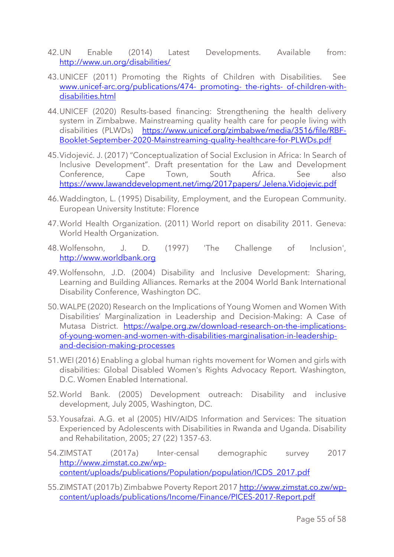- 42.UN Enable (2014) Latest Developments. Available from: <http://www.un.org/disabilities/>
- 43.UNICEF (2011) Promoting the Rights of Children with Disabilities. See [www.unicef-arc.org/publications/474-](http://www.unicef-arc.org/publications/474-%20promoting-%20the-rights-%20of-children-with-disabilities.html) promoting- the-rights- of-children-with[disabilities.html](http://www.unicef-arc.org/publications/474-%20promoting-%20the-rights-%20of-children-with-disabilities.html)
- 44.UNICEF (2020) Results-based financing: Strengthening the health delivery system in Zimbabwe. Mainstreaming quality health care for people living with disabilities (PLWDs) [https://www.unicef.org/zimbabwe/media/3516/file/RBF-](https://www.unicef.org/zimbabwe/media/3516/file/RBF-Booklet-September-2020-Mainstreaming-quality-healthcare-for-PLWDs.pdf)[Booklet-September-2020-Mainstreaming-quality-healthcare-for-PLWDs.pdf](https://www.unicef.org/zimbabwe/media/3516/file/RBF-Booklet-September-2020-Mainstreaming-quality-healthcare-for-PLWDs.pdf)
- 45.Vidojević. J. (2017) "Conceptualization of Social Exclusion in Africa: In Search of Inclusive Development". Draft presentation for the Law and Development Conference, Cape Town, South Africa. See also [https://www.lawanddevelopment.net/img/2017papers/ Jelena.Vidojevic.pdf](https://www.lawanddevelopment.net/img/2017papers/%20Jelena.Vidojevic.pdf)
- 46.Waddington, L. (1995) Disability, Employment, and the European Community. European University Institute: Florence
- 47.World Health Organization. (2011) World report on disability 2011. Geneva: World Health Organization.
- 48.Wolfensohn, J. D. (1997) 'The Challenge of Inclusion', [http://www.worldbank.org](http://www.worldbank.org/)
- 49.Wolfensohn, J.D. (2004) Disability and Inclusive Development: Sharing, Learning and Building Alliances. Remarks at the 2004 World Bank International Disability Conference, Washington DC.
- 50.WALPE (2020) Research on the Implications of Young Women and Women With Disabilities' Marginalization in Leadership and Decision-Making: A Case of Mutasa District. [https://walpe.org.zw/download-research-on-the-implications](https://walpe.org.zw/download-research-on-the-implications-of-young-women-and-women-with-disabilities-marginalisation-in-leadership-and-decision-making-processes)[of-young-women-and-women-with-disabilities-marginalisation-in-leadership](https://walpe.org.zw/download-research-on-the-implications-of-young-women-and-women-with-disabilities-marginalisation-in-leadership-and-decision-making-processes)[and-decision-making-processes](https://walpe.org.zw/download-research-on-the-implications-of-young-women-and-women-with-disabilities-marginalisation-in-leadership-and-decision-making-processes)
- 51.WEI (2016) Enabling a global human rights movement for Women and girls with disabilities: Global Disabled Women's Rights Advocacy Report. Washington, D.C. Women Enabled International.
- 52.World Bank. (2005) Development outreach: Disability and inclusive development, July 2005, Washington, DC.
- 53.Yousafzai. A.G. et al (2005) HIV/AIDS Information and Services: The situation Experienced by Adolescents with Disabilities in Rwanda and Uganda. Disability and Rehabilitation, 2005; 27 (22) 1357-63.
- 54.ZIMSTAT (2017a) Inter-censal demographic survey 2017 [http://www.zimstat.co.zw/wp](http://www.zimstat.co.zw/wp-%20content/uploads/publications/Population/population/ICDS_2017.pdf)[content/uploads/publications/Population/population/ICDS\\_2017.pdf](http://www.zimstat.co.zw/wp-%20content/uploads/publications/Population/population/ICDS_2017.pdf)
- 55. ZIMSTAT (2017b) Zimbabwe Poverty Report 201[7 http://www.zimstat.co.zw/wp](http://www.zimstat.co.zw/wp-content/uploads/publications/Income/Finance/PICES-2017-Report.pdf)[content/uploads/publications/Income/Finance/PICES-2017-Report.pdf](http://www.zimstat.co.zw/wp-content/uploads/publications/Income/Finance/PICES-2017-Report.pdf)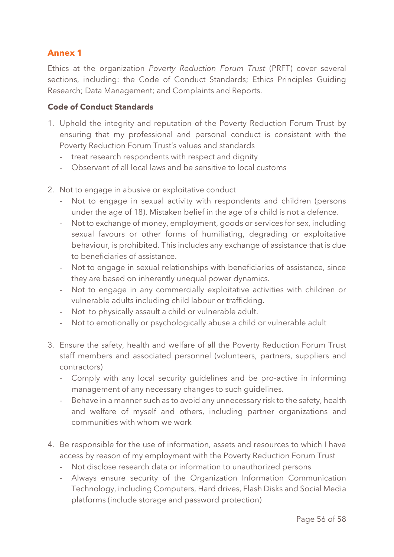# <span id="page-55-0"></span>**Annex 1**

Ethics at the organization *Poverty Reduction Forum Trust* (PRFT) cover several sections, including: the Code of Conduct Standards; Ethics Principles Guiding Research; Data Management; and Complaints and Reports.

#### **Code of Conduct Standards**

- 1. Uphold the integrity and reputation of the Poverty Reduction Forum Trust by ensuring that my professional and personal conduct is consistent with the Poverty Reduction Forum Trust's values and standards
	- treat research respondents with respect and dignity
	- Observant of all local laws and be sensitive to local customs
- 2. Not to engage in abusive or exploitative conduct
	- Not to engage in sexual activity with respondents and children (persons under the age of 18). Mistaken belief in the age of a child is not a defence.
	- Not to exchange of money, employment, goods or services for sex, including sexual favours or other forms of humiliating, degrading or exploitative behaviour, is prohibited. This includes any exchange of assistance that is due to beneficiaries of assistance.
	- Not to engage in sexual relationships with beneficiaries of assistance, since they are based on inherently unequal power dynamics.
	- Not to engage in any commercially exploitative activities with children or vulnerable adults including child labour or trafficking.
	- Not to physically assault a child or vulnerable adult.
	- Not to emotionally or psychologically abuse a child or vulnerable adult
- 3. Ensure the safety, health and welfare of all the Poverty Reduction Forum Trust staff members and associated personnel (volunteers, partners, suppliers and contractors)
	- Comply with any local security guidelines and be pro-active in informing management of any necessary changes to such guidelines.
	- Behave in a manner such as to avoid any unnecessary risk to the safety, health and welfare of myself and others, including partner organizations and communities with whom we work
- 4. Be responsible for the use of information, assets and resources to which I have access by reason of my employment with the Poverty Reduction Forum Trust
	- Not disclose research data or information to unauthorized persons
	- Always ensure security of the Organization Information Communication Technology, including Computers, Hard drives, Flash Disks and Social Media platforms (include storage and password protection)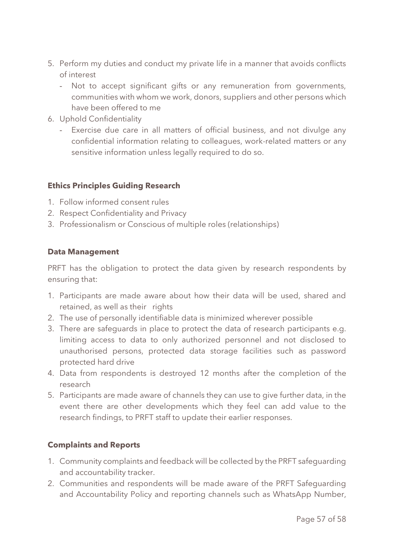- 5. Perform my duties and conduct my private life in a manner that avoids conflicts of interest
	- Not to accept significant gifts or any remuneration from governments, communities with whom we work, donors, suppliers and other persons which have been offered to me
- 6. Uphold Confidentiality
	- Exercise due care in all matters of official business, and not divulge any confidential information relating to colleagues, work-related matters or any sensitive information unless legally required to do so.

#### **Ethics Principles Guiding Research**

- 1. Follow informed consent rules
- 2. Respect Confidentiality and Privacy
- 3. Professionalism or Conscious of multiple roles (relationships)

#### **Data Management**

PRFT has the obligation to protect the data given by research respondents by ensuring that:

- 1. Participants are made aware about how their data will be used, shared and retained, as well as their rights
- 2. The use of personally identifiable data is minimized wherever possible
- 3. There are safeguards in place to protect the data of research participants e.g. limiting access to data to only authorized personnel and not disclosed to unauthorised persons, protected data storage facilities such as password protected hard drive
- 4. Data from respondents is destroyed 12 months after the completion of the research
- 5. Participants are made aware of channels they can use to give further data, in the event there are other developments which they feel can add value to the research findings, to PRFT staff to update their earlier responses.

#### **Complaints and Reports**

- 1. Community complaints and feedback will be collected by the PRFT safeguarding and accountability tracker.
- 2. Communities and respondents will be made aware of the PRFT Safeguarding and Accountability Policy and reporting channels such as WhatsApp Number,